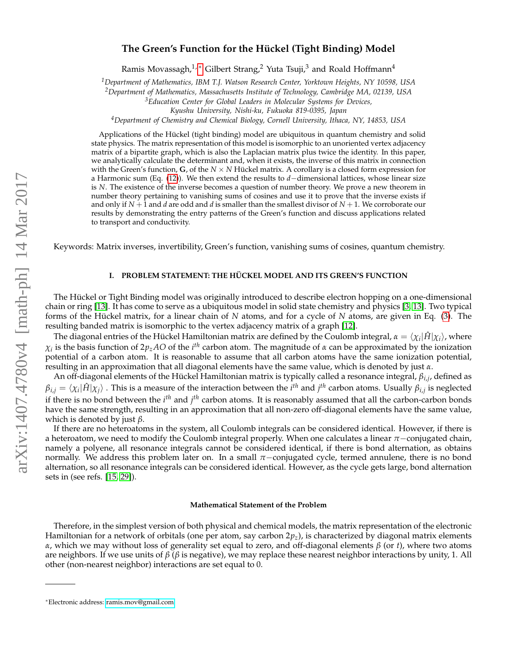### **The Green's Function for the Hückel (Tight Binding) Model**

Ramis Movassagh,<sup>1,\*</sup> Gilbert Strang,<sup>2</sup> Yuta Tsuji,<sup>3</sup> and Roald Hoffmann<sup>4</sup>

*<sup>1</sup>Department of Mathematics, IBM T.J. Watson Research Center, Yorktown Heights, NY 10598, USA*

*<sup>2</sup>Department of Mathematics, Massachusetts Institute of Technology, Cambridge MA, 02139, USA*

*<sup>3</sup>Education Center for Global Leaders in Molecular Systems for Devices,*

*Kyushu University, Nishi-ku, Fukuoka 819-0395, Japan*

*<sup>4</sup>Department of Chemistry and Chemical Biology, Cornell University, Ithaca, NY, 14853, USA*

Applications of the Hückel (tight binding) model are ubiquitous in quantum chemistry and solid state physics. The matrix representation of this model is isomorphic to an unoriented vertex adjacency matrix of a bipartite graph, which is also the Laplacian matrix plus twice the identity. In this paper, we analytically calculate the determinant and, when it exists, the inverse of this matrix in connection with the Green's function, **G**, of the  $N \times N$  Hückel matrix. A corollary is a closed form expression for a Harmonic sum (Eq. [\(12\)](#page-3-0)). We then extend the results to *d*−dimensional lattices, whose linear size is *N*. The existence of the inverse becomes a question of number theory. We prove a new theorem in number theory pertaining to vanishing sums of cosines and use it to prove that the inverse exists if and only if *N* + 1 and *d* are odd and *d* is smaller than the smallest divisor of *N* + 1. We corroborate our results by demonstrating the entry patterns of the Green's function and discuss applications related to transport and conductivity.

Keywords: Matrix inverses, invertibility, Green's function, vanishing sums of cosines, quantum chemistry.

#### **I. PROBLEM STATEMENT: THE HÜCKEL MODEL AND ITS GREEN'S FUNCTION**

The Hückel or Tight Binding model was originally introduced to describe electron hopping on a one-dimensional chain or ring [\[13\]](#page-12-0). It has come to serve as a ubiquitous model in solid state chemistry and physics [\[3,](#page-12-1) [13\]](#page-12-0). Two typical forms of the Hückel matrix, for a linear chain of *N* atoms, and for a cycle of *N* atoms, are given in Eq. [\(3\)](#page-1-0). The resulting banded matrix is isomorphic to the vertex adjacency matrix of a graph [\[12\]](#page-12-2).

The diagonal entries of the Hückel Hamiltonian matrix are defined by the Coulomb integral,  $\alpha=\langle\chi_i|\hat H|\chi_i\rangle$ , where *χi* is the basis function of 2*pzAO* of the *i th* carbon atom. The magnitude of *α* can be approximated by the ionization potential of a carbon atom. It is reasonable to assume that all carbon atoms have the same ionization potential, resulting in an approximation that all diagonal elements have the same value, which is denoted by just *α*.

An off-diagonal elements of the Hückel Hamiltonian matrix is typically called a resonance integral, *βi*,*<sup>j</sup>* , defined as  $\beta_{i,j}=\langle\chi_i|\hat{H}|\chi_j\rangle$  . This is a measure of the interaction between the  $i^{th}$  and  $j^{th}$  carbon atoms. Usually  $\beta_{i,j}$  is neglected if there is no bond between the *i<sup>th</sup>* and *j<sup>th</sup> carbon atoms.* It is reasonably assumed that all the carbon-carbon bonds have the same strength, resulting in an approximation that all non-zero off-diagonal elements have the same value, which is denoted by just *β*.

If there are no heteroatoms in the system, all Coulomb integrals can be considered identical. However, if there is a heteroatom, we need to modify the Coulomb integral properly. When one calculates a linear *π*−conjugated chain, namely a polyene, all resonance integrals cannot be considered identical, if there is bond alternation, as obtains normally. We address this problem later on. In a small *π*−conjugated cycle, termed annulene, there is no bond alternation, so all resonance integrals can be considered identical. However, as the cycle gets large, bond alternation sets in (see refs. [\[15,](#page-12-3) [29\]](#page-13-0)).

#### **Mathematical Statement of the Problem**

Therefore, in the simplest version of both physical and chemical models, the matrix representation of the electronic Hamiltonian for a network of orbitals (one per atom, say carbon 2*pz*), is characterized by diagonal matrix elements *α*, which we may without loss of generality set equal to zero, and off-diagonal elements *β* (or *t*), where two atoms are neighbors. If we use units of *β* (*β* is negative), we may replace these nearest neighbor interactions by unity, 1. All other (non-nearest neighbor) interactions are set equal to 0.

<span id="page-0-0"></span><sup>∗</sup>Electronic address: [ramis.mov@gmail.com](mailto:ramis.mov@gmail.com)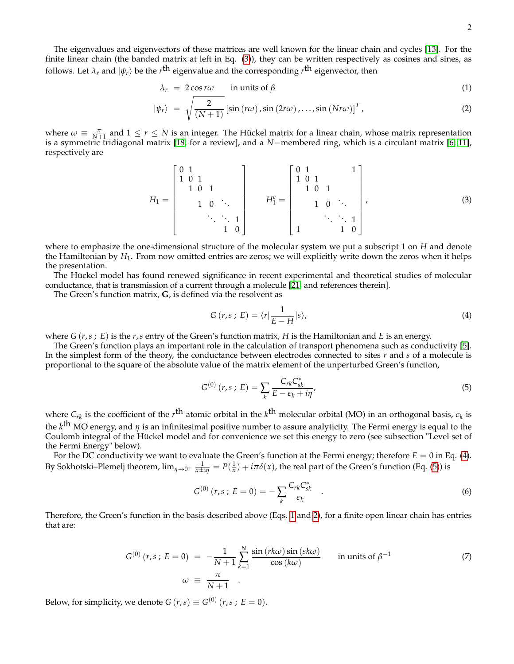The eigenvalues and eigenvectors of these matrices are well known for the linear chain and cycles [\[13\]](#page-12-0). For the finite linear chain (the banded matrix at left in Eq. [\(3\)](#page-1-0)), they can be written respectively as cosines and sines, as follows. Let  $\lambda_r$  and  $\ket{\psi_r}$  be the  $r^{\text{th}}$  eigenvalue and the corresponding  $r^{\text{th}}$  eigenvector, then

<span id="page-1-3"></span>
$$
\lambda_r = 2\cos r\omega \qquad \text{in units of } \beta \tag{1}
$$

$$
|\psi_r\rangle = \sqrt{\frac{2}{(N+1)}} \left[ \sin(r\omega), \sin(2r\omega), \dots, \sin(Nr\omega) \right]^T,
$$
 (2)

where  $\omega \equiv \frac{\pi}{N+1}$  and  $1 \le r \le N$  is an integer. The Hückel matrix for a linear chain, whose matrix representation is a symmetric tridiagonal matrix [\[18,](#page-12-4) for a review], and a *N*−membered ring, which is a circulant matrix [\[6,](#page-12-5) [11\]](#page-12-6), respectively are

<span id="page-1-0"></span>
$$
H_1 = \begin{bmatrix} 0 & 1 & & & & \\ 1 & 0 & 1 & & & \\ & 1 & 0 & 1 & & \\ & & 1 & 0 & \ddots & \\ & & & & \ddots & \ddots & 1 \\ & & & & & 1 & 0 \end{bmatrix} \qquad H_1^c = \begin{bmatrix} 0 & 1 & & & 1 \\ 1 & 0 & 1 & & \\ & 1 & 0 & 1 & \\ & & & 1 & 0 \end{bmatrix}, \qquad (3)
$$

where to emphasize the one-dimensional structure of the molecular system we put a subscript 1 on *H* and denote the Hamiltonian by *H*1. From now omitted entries are zeros; we will explicitly write down the zeros when it helps the presentation.

The Hückel model has found renewed significance in recent experimental and theoretical studies of molecular conductance, that is transmission of a current through a molecule [\[21,](#page-13-1) and references therein].

The Green's function matrix, **G**, is defined via the resolvent as

<span id="page-1-1"></span>
$$
G(r,s;E) = \langle r | \frac{1}{E - H} | s \rangle,
$$
\n(4)

where  $G(r, s; E)$  is the  $r, s$  entry of the Green's function matrix,  $H$  is the Hamiltonian and  $E$  is an energy.

The Green's function plays an important role in the calculation of transport phenomena such as conductivity [\[5\]](#page-12-7). In the simplest form of the theory, the conductance between electrodes connected to sites *r* and *s* of a molecule is proportional to the square of the absolute value of the matrix element of the unperturbed Green's function,

<span id="page-1-2"></span>
$$
G^{(0)}(r,s;E) = \sum_{k} \frac{C_{rk} C_{sk}^*}{E - \epsilon_k + i\eta'},
$$
\n(5)

where  $C_{rk}$  is the coefficient of the  $r^{\text{th}}$  atomic orbital in the  $k^{\text{th}}$  molecular orbital (MO) in an orthogonal basis,  $\epsilon_k$  is the *k* th MO energy, and *<sup>η</sup>* is an infinitesimal positive number to assure analyticity. The Fermi energy is equal to the Coulomb integral of the Hückel model and for convenience we set this energy to zero (see subsection "Level set of the Fermi Energy" below).

For the DC conductivity we want to evaluate the Green's function at the Fermi energy; therefore  $E = 0$  in Eq. [\(4\)](#page-1-1). By Sokhotski–Plemelj theorem,  $\lim_{\eta\to 0^+} \frac{1}{x\pm i\eta} = P(\frac{1}{x}) \mp i\pi\delta(x)$ , the real part of the Green's function (Eq. [\(5\)](#page-1-2)) is

$$
G^{(0)}(r,s; E = 0) = -\sum_{k} \frac{C_{rk} C_{sk}^{*}}{\epsilon_k} .
$$
 (6)

Therefore, the Green's function in the basis described above (Eqs. [1](#page-1-3) and [2\)](#page-1-3), for a finite open linear chain has entries that are:

<span id="page-1-4"></span>
$$
G^{(0)}(r,s; E = 0) = -\frac{1}{N+1} \sum_{k=1}^{N} \frac{\sin(rk\omega)\sin(sk\omega)}{\cos(k\omega)} \quad \text{in units of } \beta^{-1}
$$
  
\n
$$
\omega \equiv \frac{\pi}{N+1} .
$$
 (7)

Below, for simplicity, we denote  $G(r,s) \equiv G^{(0)}(r,s;E=0)$ .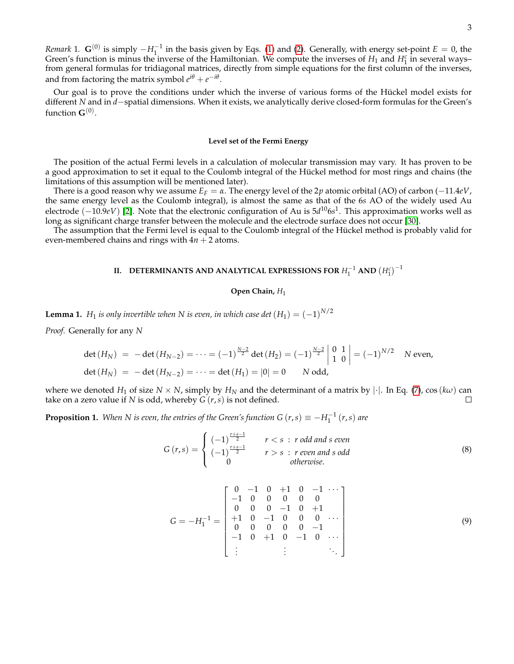*Remark* 1.  $\mathbf{G}^{(0)}$  is simply  $-H_1^{-1}$  in the basis given by Eqs. [\(1\)](#page-1-3) and [\(2\)](#page-1-3). Generally, with energy set-point  $E = 0$ , the Green's function is minus the inverse of the Hamiltonian. We compute the inverses of  $H_1$  and  $H_1^c$  in several ways– from general formulas for tridiagonal matrices, directly from simple equations for the first column of the inverses, and from factoring the matrix symbol  $e^{i\theta} + e^{-i\theta}$ .

Our goal is to prove the conditions under which the inverse of various forms of the Hückel model exists for different *N* and in *d*−spatial dimensions. When it exists, we analytically derive closed-form formulas for the Green's function  $\mathbf{G}^{(0)}$ .

#### **Level set of the Fermi Energy**

The position of the actual Fermi levels in a calculation of molecular transmission may vary. It has proven to be a good approximation to set it equal to the Coulomb integral of the Hückel method for most rings and chains (the limitations of this assumption will be mentioned later).

There is a good reason why we assume  $E_F = \alpha$ . The energy level of the 2*p* atomic orbital (AO) of carbon (−11.4*eV*, the same energy level as the Coulomb integral), is almost the same as that of the 6*s* AO of the widely used Au electrode (−10.9*eV*) [\[2\]](#page-12-8). Note that the electronic configuration of Au is 5*d* <sup>10</sup>6*s* 1 . This approximation works well as long as significant charge transfer between the molecule and the electrode surface does not occur [\[30\]](#page-13-2).

The assumption that the Fermi level is equal to the Coulomb integral of the Hückel method is probably valid for even-membered chains and rings with  $4n + 2$  atoms.

# **II. DETERMINANTS AND ANALYTICAL EXPRESSIONS FOR**  $H_1^{-1}$  **and**  $\left(H_1^c\right)^{-1}$

#### **Open Chain,** *H*<sup>1</sup>

**Lemma 1.** *H*<sub>1</sub> *is only invertible when* N *is even, in which case det*  $(H_1) = (-1)^{N/2}$ 

*Proof.* Generally for any *N*

$$
\det(H_N) = -\det(H_{N-2}) = \dots = (-1)^{\frac{N-2}{2}} \det(H_2) = (-1)^{\frac{N-2}{2}} \begin{vmatrix} 0 & 1 \\ 1 & 0 \end{vmatrix} = (-1)^{N/2} \quad N \text{ even,}
$$
  

$$
\det(H_N) = -\det(H_{N-2}) = \dots = \det(H_1) = |0| = 0 \quad N \text{ odd,}
$$

where we denoted *H*<sub>1</sub> of size *N* × *N*, simply by *H*<sub>*N*</sub> and the determinant of a matrix by | $\cdot$ |. In Eq. [\(7\)](#page-1-4), cos (*kω*) can take on a zero value if *N* is odd. whereby *G* (*r*.s) is not defined. take on a zero value if *N* is odd, whereby  $G(r, s)$  is not defined.

**Proposition 1.** When N is even, the entries of the Green's function G  $(r, s) \equiv -H_1^{-1}(r, s)$  are

<span id="page-2-0"></span>
$$
G(r,s) = \begin{cases} (-1)^{\frac{r+s-1}{2}} & r < s : r \text{ odd and } s \text{ even} \\ (-1)^{\frac{r+s-1}{2}} & r > s : r \text{ even and } s \text{ odd} \\ 0 & \text{otherwise.} \end{cases}
$$
 (8)

<span id="page-2-1"></span>
$$
G = -H_1^{-1} = \begin{bmatrix} 0 & -1 & 0 & +1 & 0 & -1 & \cdots \\ -1 & 0 & 0 & 0 & 0 & 0 & 0 \\ 0 & 0 & 0 & -1 & 0 & +1 \\ +1 & 0 & -1 & 0 & 0 & 0 & \cdots \\ 0 & 0 & 0 & 0 & 0 & -1 & \\ -1 & 0 & +1 & 0 & -1 & 0 & \cdots \\ \vdots & \vdots & \vdots & \vdots & \ddots \end{bmatrix}
$$
(9)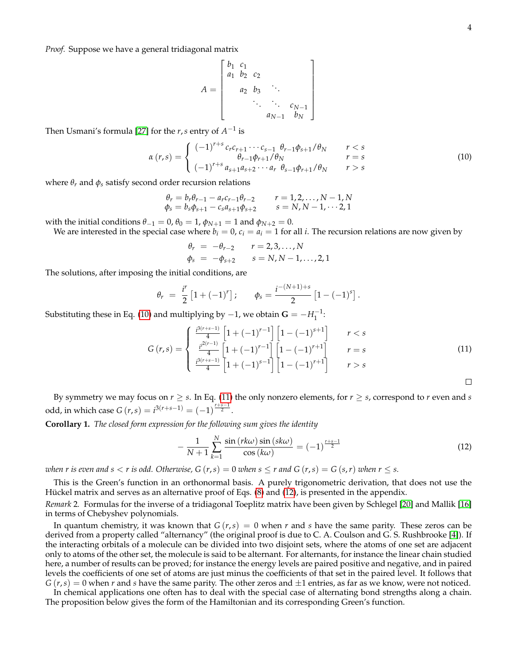*Proof.* Suppose we have a general tridiagonal matrix

$$
A = \begin{bmatrix} b_1 & c_1 & & & \\ a_1 & b_2 & c_2 & & \\ & a_2 & b_3 & \ddots & \\ & & \ddots & \ddots & c_{N-1} \\ & & & a_{N-1} & b_N \end{bmatrix}
$$

Then Usmani's formula [\[27\]](#page-13-3) for the  $r$ ,  $s$  entry of  $A^{-1}$  is

<span id="page-3-1"></span>
$$
\alpha(r,s) = \begin{cases}\n(-1)^{r+s} c_r c_{r+1} \cdots c_{s-1} \theta_{r-1} \phi_{s+1} / \theta_N & r < s \\
\theta_{r-1} \phi_{r+1} / \theta_N & r = s \\
(-1)^{r+s} a_{s+1} a_{s+2} \cdots a_r \theta_{s-1} \phi_{r+1} / \theta_N & r > s\n\end{cases}
$$
\n(10)

where  $\theta_r$  and  $\phi_s$  satisfy second order recursion relations

$$
\begin{aligned}\n\theta_r &= b_r \theta_{r-1} - a_r c_{r-1} \theta_{r-2} & r &= 1, 2, \dots, N-1, N \\
\phi_s &= b_s \phi_{s+1} - c_s a_{s+1} \phi_{s+2} & s &= N, N-1, \dots, 2, 1\n\end{aligned}
$$

with the initial conditions  $\theta_{-1} = 0$ ,  $\theta_0 = 1$ ,  $\phi_{N+1} = 1$  and  $\phi_{N+2} = 0$ .

We are interested in the special case where  $b_i = 0$ ,  $c_i = a_i = 1$  for all *i*. The recursion relations are now given by

$$
\theta_r = -\theta_{r-2}
$$
  $r = 2, 3, ..., N$   
\n $\phi_s = -\phi_{s+2}$   $s = N, N - 1, ..., 2, 1$ 

The solutions, after imposing the initial conditions, are

$$
\theta_r = \frac{i^r}{2} [1 + (-1)^r]; \quad \phi_s = \frac{i^{-(N+1)+s}}{2} [1 - (-1)^s].
$$

Substituting these in Eq. [\(10\)](#page-3-1) and multiplying by  $-1$ , we obtain  $G = -H_1^{-1}$ :

<span id="page-3-2"></span>
$$
G(r,s) = \begin{cases} \frac{t^{3(r+s-1)}}{4} \left[ 1 + (-1)^{r-1} \right] \left[ 1 - (-1)^{s+1} \right] & r < s \\ \frac{t^{3(r+s-1)}}{4} \left[ 1 + (-1)^{r-1} \right] \left[ 1 - (-1)^{r+1} \right] & r = s \\ \frac{t^{3(r+s-1)}}{4} \left[ 1 + (-1)^{s-1} \right] \left[ 1 - (-1)^{r+1} \right] & r > s \end{cases}
$$
(11)

By symmetry we may focus on  $r \geq s$ . In Eq. [\(11\)](#page-3-2) the only nonzero elements, for  $r \geq s$ , correspond to  $r$  even and  $s$ odd, in which case  $G(r, s) = i^{3(r+s-1)} = (-1)^{\frac{r+s-1}{2}}$ .

**Corollary 1.** *The closed form expression for the following sum gives the identity*

<span id="page-3-0"></span>
$$
-\frac{1}{N+1}\sum_{k=1}^{N}\frac{\sin\left(\frac{rk\omega}{\omega}\right)\sin\left(\frac{sk\omega}{\omega}\right)}{\cos\left(k\omega\right)}=(-1)^{\frac{r+s-1}{2}}\tag{12}
$$

*when r is even and s < r is odd. Otherwise, G*  $(r, s) = 0$  *<i>when s*  $\leq r$  *and G*  $(r, s) = G(s, r)$  *when*  $r \leq s$ *.* 

This is the Green's function in an orthonormal basis. A purely trigonometric derivation, that does not use the Hückel matrix and serves as an alternative proof of Eqs. [\(8\)](#page-2-0) and [\(12\)](#page-3-0), is presented in the appendix.

*Remark* 2*.* Formulas for the inverse of a tridiagonal Toeplitz matrix have been given by Schlegel [\[20\]](#page-13-4) and Mallik [\[16\]](#page-12-9) in terms of Chebyshev polynomials.

In quantum chemistry, it was known that *G* (*r*,*s*) = 0 when *r* and *s* have the same parity. These zeros can be derived from a property called "alternancy" (the original proof is due to C. A. Coulson and G. S. Rushbrooke [\[4\]](#page-12-10)). If the interacting orbitals of a molecule can be divided into two disjoint sets, where the atoms of one set are adjacent only to atoms of the other set, the molecule is said to be alternant. For alternants, for instance the linear chain studied here, a number of results can be proved; for instance the energy levels are paired positive and negative, and in paired levels the coefficients of one set of atoms are just minus the coefficients of that set in the paired level. It follows that  $G(r,s) = 0$  when *r* and *s* have the same parity. The other zeros and  $\pm 1$  entries, as far as we know, were not noticed.

In chemical applications one often has to deal with the special case of alternating bond strengths along a chain. The proposition below gives the form of the Hamiltonian and its corresponding Green's function.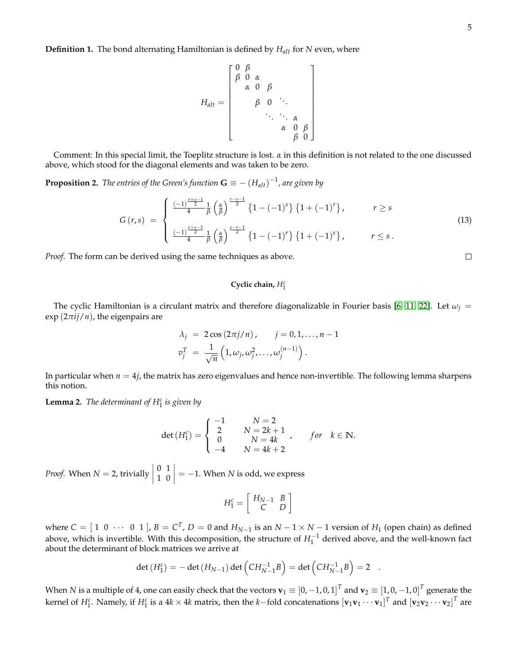$$
H_{alt} = \left[\begin{array}{cccc} 0 & \beta & & & \\ \beta & 0 & \alpha & & & \\ \alpha & 0 & \beta & & & \\ \beta & 0 & \ddots & & & \\ \vdots & \vdots & \ddots & \ddots & \alpha & \\ \beta & 0 & \ddots & \ddots & \beta & 0 \end{array}\right]
$$

Comment: In this special limit, the Toeplitz structure is lost. *α* in this definition is not related to the one discussed above, which stood for the diagonal elements and was taken to be zero.

<span id="page-4-0"></span>**Proposition 2.** *The entries of the Green's function*  $\mathbf{G}\equiv-\left(H_{alt}\right)^{-1}$ *, are given by* 

$$
G(r,s) = \begin{cases} \frac{(-1)^{\frac{r+s-1}{2}}}{4} \frac{1}{\beta} \left(\frac{\alpha}{\beta}\right)^{\frac{r-s-1}{2}} \left\{1 - (-1)^s\right\} \left\{1 + (-1)^r\right\}, & r \ge s\\ \frac{(-1)^{\frac{r+s-1}{2}}}{4} \frac{1}{\beta} \left(\frac{\alpha}{\beta}\right)^{\frac{s-r-1}{2}} \left\{1 - (-1)^r\right\} \left\{1 + (-1)^s\right\}, & r \le s. \end{cases}
$$
(13)

*Proof.* The form can be derived using the same techniques as above.

## **Cyclic chain,** *H<sup>c</sup>* 1

The cyclic Hamiltonian is a circulant matrix and therefore diagonalizable in Fourier basis [\[6,](#page-12-5) [11,](#page-12-6) [22\]](#page-13-5). Let  $\omega_j =$ exp (2*πij*/*n*), the eigenpairs are

$$
\lambda_j = 2 \cos (2\pi j/n), \qquad j = 0, 1, \dots, n-1
$$
  

$$
v_j^T = \frac{1}{\sqrt{n}} \left( 1, \omega_j, \omega_j^2, \dots, \omega_j^{(n-1)} \right).
$$

In particular when  $n = 4j$ , the matrix has zero eigenvalues and hence non-invertible. The following lemma sharpens this notion.

<span id="page-4-1"></span>**Lemma 2.** *The determinant of H<sup>c</sup>* 1 *is given by*

$$
\det(H_1^c) = \begin{cases}\n-1 & N = 2 \\
2 & N = 2k + 1 \\
0 & N = 4k \\
-4 & N = 4k + 2\n\end{cases}, \quad \text{for } k \in \mathbb{N}.
$$

*Proof.* When  $N = 2$ , trivially 0 1 1 0  $\vert = -1$ . When *N* is odd, we express

$$
H_1^c = \left[ \begin{array}{cc} H_{N-1} & B \\ C & D \end{array} \right]
$$

where  $C = [1 \ 0 \ \cdots \ 0 \ 1]$ ,  $B = C^T$ ,  $D = 0$  and  $H_{N-1}$  is an  $N-1 \times N-1$  version of  $H_1$  (open chain) as defined above, which is invertible. With this decomposition, the structure of  $H_1^{-1}$  derived above, and the well-known fact about the determinant of block matrices we arrive at

$$
\det(H_1^c) = -\det(H_{N-1})\det\left(CH_{N-1}^{-1}B\right) = \det\left(CH_{N-1}^{-1}B\right) = 2.
$$

When  $N$  is a multiple of  $4$ , one can easily check that the vectors  $\mathbf{v}_1\equiv[0,-1,0,1]^T$  and  $\mathbf{v}_2\equiv[1,0,-1,0]^T$  generate the kernel of  $H_1^c$ . Namely, if  $H_1^c$  is a  $4k\times 4k$  matrix, then the  $k-$  fold concatenations  $[\mathbf{v}_1\mathbf{v}_1\cdots\mathbf{v}_1]^T$  and  $[\mathbf{v}_2\mathbf{v}_2\cdots\mathbf{v}_2]^T$  are

 $\Box$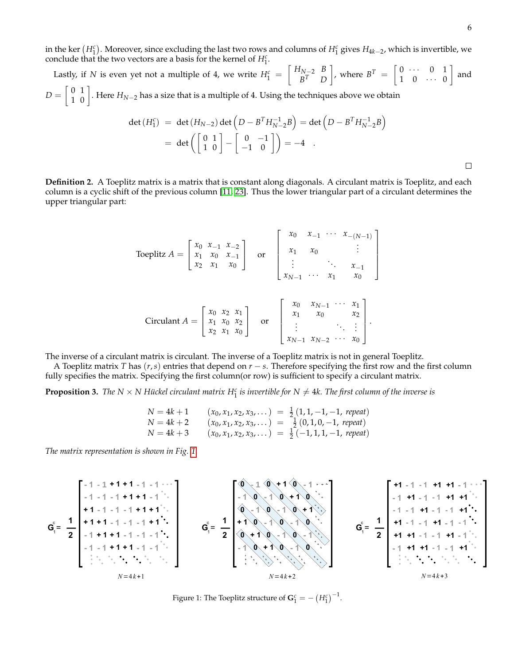and

 $\Box$ 

in the ker  $(H_1^c)$ . Moreover, since excluding the last two rows and columns of  $H_1^c$  gives  $H_{4k-2}$ , which is invertible, we conclude that the two vectors are a basis for the kernel of *H<sup>c</sup>* . 1

Lastly, if *N* is even yet not a multiple of 4, we write  $H_1^c = \begin{bmatrix} H_{N-2} & B \ B^T & D \end{bmatrix}$ *B <sup>T</sup> D* where  $B^T = \begin{bmatrix} 0 & \cdots & 0 & 1 \\ 1 & 0 & \cdots & 0 \end{bmatrix}$  $1 \quad 0 \quad \cdots \quad 0$  $D = \left[ \begin{array}{cc} 0 & 1 \ 1 & 0 \end{array} \right]$ . Here  $H_{N-2}$  has a size that is a multiple of 4. Using the techniques above we obtain

$$
\det(H_1^c) = \det(H_{N-2})\det\left(D - B^T H_{N-2}^{-1} B\right) = \det\left(D - B^T H_{N-2}^{-1} B\right)
$$

$$
= \det\left(\begin{bmatrix} 0 & 1 \\ 1 & 0 \end{bmatrix} - \begin{bmatrix} 0 & -1 \\ -1 & 0 \end{bmatrix}\right) = -4.
$$

**Definition 2.** A Toeplitz matrix is a matrix that is constant along diagonals. A circulant matrix is Toeplitz, and each column is a cyclic shift of the previous column [\[11,](#page-12-6) [23\]](#page-13-6). Thus the lower triangular part of a circulant determines the upper triangular part:

Toeplitz

\n
$$
A = \begin{bmatrix} x_0 & x_{-1} & x_{-2} \\ x_1 & x_0 & x_{-1} \\ x_2 & x_1 & x_0 \end{bmatrix} \quad \text{or} \quad \begin{bmatrix} x_0 & x_{-1} & \cdots & x_{-(N-1)} \\ x_1 & x_0 & \vdots \\ \vdots & \ddots & \vdots \\ x_{N-1} & \cdots & x_1 & x_0 \end{bmatrix}
$$
\nCirculart

\n
$$
A = \begin{bmatrix} x_0 & x_2 & x_1 \\ x_1 & x_0 & x_2 \\ x_2 & x_1 & x_0 \end{bmatrix} \quad \text{or} \quad \begin{bmatrix} x_0 & x_{N-1} & \cdots & x_1 \\ x_1 & x_0 & x_2 \\ \vdots & \ddots & \vdots \\ x_{N-1} & x_{N-2} & \cdots & x_0 \end{bmatrix}.
$$

The inverse of a circulant matrix is circulant. The inverse of a Toeplitz matrix is not in general Toeplitz.

A Toeplitz matrix *T* has (*r*,*s*) entries that depend on *r* − *s*. Therefore specifying the first row and the first column fully specifies the matrix. Specifying the first column(or row) is sufficient to specify a circulant matrix.

<span id="page-5-1"></span>**Proposition 3.** The N  $\times$  N Hückel circulant matrix  $H_1^c$  is invertible for N  $\neq$  4k. The first column of the inverse is

$$
N = 4k + 1
$$
  
\n
$$
N = 4k + 2
$$
  
\n
$$
N = 4k + 3
$$
  
\n
$$
(x_0, x_1, x_2, x_3, ...)
$$
  
\n
$$
N = 4k + 3
$$
  
\n
$$
(x_0, x_1, x_2, x_3, ...)
$$
  
\n
$$
N = \frac{1}{2}(0, 1, 0, -1, \text{ repeat})
$$
  
\n
$$
N = 4k + 3
$$
  
\n
$$
(x_0, x_1, x_2, x_3, ...)
$$
  
\n
$$
N = \frac{1}{2}(-1, 1, 1, -1, \text{ repeat})
$$

*The matrix representation is shown in Fig. [1.](#page-5-0)*



<span id="page-5-0"></span>Figure 1: The Toeplitz structure of  $\mathbf{G}^c_1 = -\left(H^c_1\right)^{-1}$ .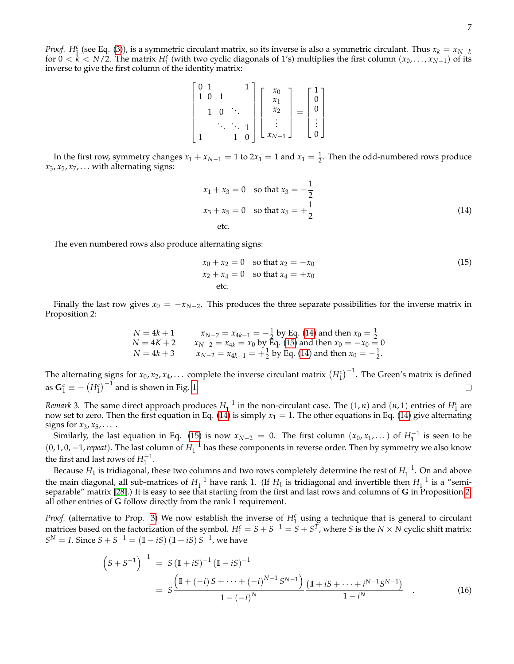*Proof.*  $H_1^c$  (see Eq. [\(3\)](#page-1-0)), is a symmetric circulant matrix, so its inverse is also a symmetric circulant. Thus  $x_k = x_{N-k}$ for  $0 < k < N/2$ . The matrix  $H_1^c$  (with two cyclic diagonals of 1's) multiplies the first column  $(x_0, \ldots, x_{N-1})$  of its inverse to give the first column of the identity matrix:

$$
\begin{bmatrix} 0 & 1 & & & 1 \\ 1 & 0 & 1 & & \\ & 1 & 0 & \ddots & \\ & & \ddots & \ddots & 1 \\ 1 & & & 1 & 0 \end{bmatrix} \begin{bmatrix} x_0 \\ x_1 \\ x_2 \\ \vdots \\ x_{N-1} \end{bmatrix} = \begin{bmatrix} 1 \\ 0 \\ 0 \\ \vdots \\ 0 \end{bmatrix}
$$

In the first row, symmetry changes  $x_1 + x_{N-1} = 1$  to  $2x_1 = 1$  and  $x_1 = \frac{1}{2}$ . Then the odd-numbered rows produce  $x_3, x_5, x_7, \ldots$  with alternating signs:

<span id="page-6-0"></span>
$$
x_1 + x_3 = 0 \text{ so that } x_3 = -\frac{1}{2}
$$
  

$$
x_3 + x_5 = 0 \text{ so that } x_5 = +\frac{1}{2}
$$
  
etc. (14)

The even numbered rows also produce alternating signs:

<span id="page-6-1"></span>
$$
x_0 + x_2 = 0 \text{ so that } x_2 = -x_0
$$
  
\n
$$
x_2 + x_4 = 0 \text{ so that } x_4 = +x_0
$$
  
\netc. (15)

Finally the last row gives  $x_0 = -x_{N-2}$ . This produces the three separate possibilities for the inverse matrix in Proposition 2:

$$
N = 4k + 1
$$
  
\n
$$
N = 4K + 2
$$
  
\n
$$
N = 4k + 3
$$
  
\n
$$
x_{N-2} = x_{4k} = x_0
$$
 by Eq. (14) and then  $x_0 = \frac{1}{2}$   
\n
$$
N = 4k + 3
$$
  
\n
$$
x_{N-2} = x_{4k} = x_0
$$
 by Eq. (15) and then  $x_0 = -x_0 = 0$   
\n
$$
N = 4k + 3
$$
  
\n
$$
x_{N-2} = x_{4k+1} = +\frac{1}{2}
$$
 by Eq. (14) and then  $x_0 = -\frac{1}{2}$ .

The alternating signs for  $x_0, x_2, x_4, \ldots$  complete the inverse circulant matrix  $\left(H_1^c\right)^{-1}$ . The Green's matrix is defined as  $G_1^c \equiv -\left(H_1^c\right)^{-1}$  and is shown in Fig. [1.](#page-5-0)  $\Box$ 

*Remark* 3. The same direct approach produces  $H_1^{-1}$  in the non-circulant case. The  $(1, n)$  and  $(n, 1)$  entries of  $H_1^c$  are now set to zero. Then the first equation in Eq.  $(14)$  is simply  $x_1 = 1$ . The other equations in Eq.  $(14)$  give alternating signs for  $x_3, x_5, \ldots$ .

Similarly, the last equation in Eq. [\(15\)](#page-6-1) is now  $x_{N-2} = 0$ . The first column  $(x_0, x_1, ...)$  of  $H_1^{-1}$  is seen to be  $(0, 1, 0, -1,$  *repeat*). The last column of  $H_1^{-1}$  has these components in reverse order. Then by symmetry we also know the first and last rows of  $H_1^{-1}$ .

Because  $H_1$  is tridiagonal, these two columns and two rows completely determine the rest of  $H_1^{-1}$ . On and above the main diagonal, all sub-matrices of  $H_1^{-1}$  have rank 1. (If  $H_1$  is tridiagonal and invertible then  $H_1^{-1}$  is a "semiseparable" matrix [\[28\]](#page-13-7).) It is easy to see that starting from the first and last rows and columns of **G** in Proposition [2,](#page-4-0) all other entries of **G** follow directly from the rank 1 requirement.

*Proof.* (alternative to Prop. [3\)](#page-5-1) We now establish the inverse of  $H_1^c$  using a technique that is general to circulant matrices based on the factorization of the symbol.  $H_1^c = S + S^{-1} = S + S^T$ , where *S* is the *N* × *N* cyclic shift matrix:  $S^N = I$ . Since  $S + S^{-1} = (\mathbb{I} - iS) (\mathbb{I} + iS) S^{-1}$ , we have

<span id="page-6-2"></span>
$$
(S+S^{-1})^{-1} = S(\mathbb{I}+iS)^{-1}(\mathbb{I}-iS)^{-1}
$$
  
= 
$$
S\frac{(\mathbb{I}+(-i)S+\cdots+(-i)^{N-1}S^{N-1})}{1-(-i)^N}\frac{(\mathbb{I}+iS+\cdots+i^{N-1}S^{N-1})}{1-i^N}
$$
 (16)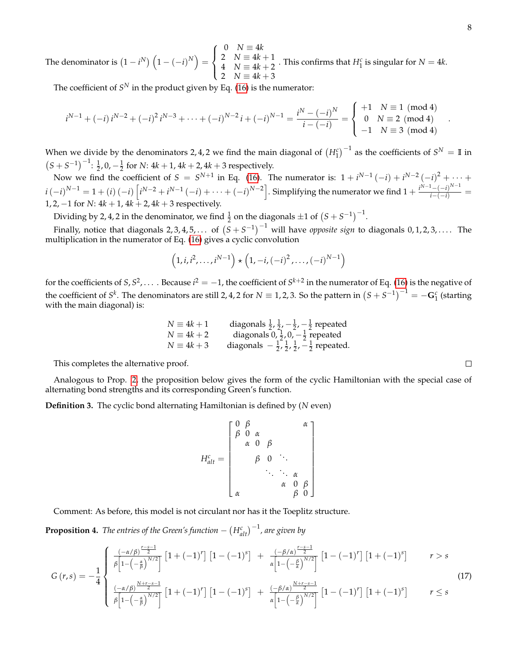The denominator is  $(1 - i^N) (1 - (-i)^N) =$  $\sqrt{ }$  $\int$  $\mathcal{L}$  $0 \quad N \equiv 4k$ 2  $N = 4k + 1$  $4\quad N \equiv 4k+2$ 2  $N = 4k + 3$ . This confirms that  $H_1^c$  is singular for  $N = 4k$ .

The coefficient of  $S^N$  in the product given by Eq. [\(16\)](#page-6-2) is the numerator:

$$
i^{N-1} + (-i) i^{N-2} + (-i)^2 i^{N-3} + \dots + (-i)^{N-2} i + (-i)^{N-1} = \frac{i^N - (-i)^N}{i - (-i)} = \begin{cases} +1 & N \equiv 1 \pmod{4} \\ 0 & N \equiv 2 \pmod{4} \\ -1 & N \equiv 3 \pmod{4} \end{cases}
$$

When we divide by the denominators 2, 4, 2 we find the main diagonal of  $(H_1^c)^{-1}$  as the coefficients of  $S^N = \mathbb{I}$  in  $(S + S^{-1})^{-1}$ :  $\frac{1}{2}$ , 0,  $-\frac{1}{2}$  for *N*: 4*k* + 1, 4*k* + 2, 4*k* + 3 respectively.

Now we find the coefficient of  $S = S^{N+1}$  in Eq. [\(16\)](#page-6-2). The numerator is:  $1 + i^{N-1}(-i) + i^{N-2}(-i)^2 + \cdots$  $i\left( -i\right) ^{N-1}=1+\left( i\right) \left( -i\right) \left[ i^{N-2}+i^{N-1}\left( -i\right) +\cdots +\left( -i\right) ^{N-2}\right] .$  Simplifying the numerator we find  $1+\frac{i^{N-1}-\left( -i\right) ^{N-1}}{i-\left( -i\right) }=$ 1, 2, −1 for *N*: 4*k* + 1, 4*k* + 2, 4*k* + 3 respectively.

Dividing by 2, 4, 2 in the denominator, we find  $\frac{1}{2}$  on the diagonals  $\pm 1$  of  $(S + S^{-1})^{-1}$ .

Finally, notice that diagonals 2, 3, 4, 5, . . . of  $(S + S^{-1})^{-1}$  will have *opposite sign* to diagonals 0, 1, 2, 3, . . . . The multiplication in the numerator of Eq. [\(16\)](#page-6-2) gives a cyclic convolution

$$
(1, i, i^{2}, \dots, i^{N-1}) \star (1, -i, (-i)^{2}, \dots, (-i)^{N-1})
$$

for the coefficients of  $S$ ,  $S^2$ ,  $\dots$  . Because  $i^2=-1$ , the coefficient of  $S^{k+2}$  in the numerator of Eq. [\(16\)](#page-6-2) is the negative of the coefficient of  $S^k$ . The denominators are still 2, 4, 2 for  $N \equiv 1, 2, 3$ . So the pattern in  $(S + S^{-1})^{-1} = -G_1^c$  (starting with the main diagonal) is:

> *N* ≡ 4*k* + 1 diagonals  $\frac{1}{2}$ ,  $\frac{1}{2}$ ,  $-\frac{1}{2}$ ,  $-\frac{1}{2}$  repeated  $N \equiv 4k+2$  diagonals  $0, \frac{1}{2}, 0, -\frac{1}{2}$  repeated  $N \equiv 4k + 3$  diagonals  $-\frac{1}{2}, \frac{1}{2}, \frac{1}{2}, -\frac{1}{2}$  repeated.

This completes the alternative proof.

Analogous to Prop. [2,](#page-4-0) the proposition below gives the form of the cyclic Hamiltonian with the special case of alternating bond strengths and its corresponding Green's function.

**Definition 3.** The cyclic bond alternating Hamiltonian is defined by (*N* even)

$$
H_{alt}^{c} = \begin{bmatrix} 0 & \beta & \alpha & \alpha \\ \beta & 0 & \alpha & \beta & \alpha \\ \alpha & 0 & \beta & \ddots & \vdots \\ \beta & 0 & \ddots & \ddots & \alpha & \alpha \\ \alpha & \alpha & \beta & \alpha & \beta \end{bmatrix}
$$

Comment: As before, this model is not circulant nor has it the Toeplitz structure.

**Proposition 4.** *The entries of the Green's function*  $- \left( H_{alt}^c \right)^{-1}$ *, are given by* 

$$
G\left(r,s\right) = -\frac{1}{4} \begin{cases} \frac{\left(-\alpha/\beta\right)^{\frac{r-s-1}{2}}}{\beta\left[1-\left(-\frac{\alpha}{\beta}\right)^{N/2}\right]} \left[1+\left(-1\right)^{r}\right] \left[1-\left(-1\right)^{s}\right] & + \frac{\left(-\beta/\alpha\right)^{\frac{r-s-1}{2}}}{\alpha\left[1-\left(-\frac{\beta}{\alpha}\right)^{N/2}\right]} \left[1-\left(-1\right)^{r}\right] \left[1+\left(-1\right)^{s}\right] & r > s \end{cases} \tag{17}
$$

<span id="page-7-0"></span>
$$
G(r,s) = -\frac{1}{4} \left\{ \begin{array}{l} \frac{(-\alpha/\beta)^{\frac{N+r-s-1}{2}}}{\beta \left[1-\left(-\frac{\alpha}{\beta}\right)^{N/2}\right]} \left[1+(-1)^r\right] \left[1-(-1)^s\right] + \frac{(-\beta/\alpha)^{\frac{N+r-s-1}{2}}}{\alpha \left[1-\left(-\frac{\beta}{\alpha}\right)^{N/2}\right]} \left[1-(-1)^r\right] \left[1+(-1)^s\right] \end{array} \right. \qquad r \leq s \tag{17}
$$

.

 $\Box$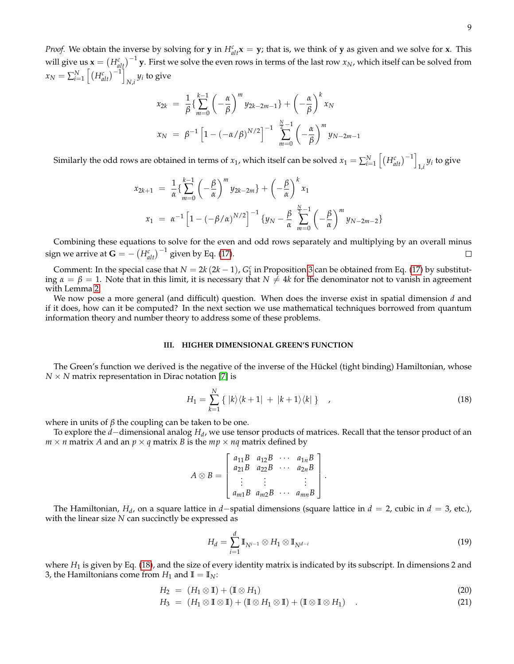*Proof.* We obtain the inverse by solving for **y** in  $H_{alt}^c$ **x** = **y**; that is, we think of **y** as given and we solve for **x**. This will give us  $\mathbf{x} = (H_{alt}^c)^{-1}$  y. First we solve the even rows in terms of the last row  $x_N$ , which itself can be solved from  $x_N = \sum_{i=1}^N \left[ \left( H_{alt}^c \right)^{-1} \right]$  $N_i$ <sup>*y<sub>i</sub>* to give</sup>

$$
x_{2k} = \frac{1}{\beta} \left\{ \sum_{m=0}^{k-1} \left( -\frac{\alpha}{\beta} \right)^m y_{2k-2m-1} \right\} + \left( -\frac{\alpha}{\beta} \right)^k x_N
$$
  

$$
x_N = \beta^{-1} \left[ 1 - \left( -\alpha/\beta \right)^{N/2} \right]^{-1} \sum_{m=0}^{N-1} \left( -\frac{\alpha}{\beta} \right)^m y_{N-2m-1}
$$

Similarly the odd rows are obtained in terms of  $x_1$ , which itself can be solved  $x_1 = \sum_{i=1}^{N} \left[ \left( H_{alt}^c \right)^{-1} \right]$  $y_i$  to give

$$
x_{2k+1} = \frac{1}{\alpha} \left\{ \sum_{m=0}^{k-1} \left( -\frac{\beta}{\alpha} \right)^m y_{2k-2m} \right\} + \left( -\frac{\beta}{\alpha} \right)^k x_1
$$
  

$$
x_1 = \alpha^{-1} \left[ 1 - \left( -\beta/\alpha \right)^{N/2} \right]^{-1} \left\{ y_N - \frac{\beta}{\alpha} \sum_{m=0}^{\frac{N}{2}-1} \left( -\frac{\beta}{\alpha} \right)^m y_{N-2m-2} \right\}
$$

Combining these equations to solve for the even and odd rows separately and multiplying by an overall minus sign we arrive at  $\mathbf{G} = -\left(H_{alt}^c\right)^{-1}$  given by Eq. [\(17\)](#page-7-0).  $\Box$ 

Comment: In the special case that  $N = 2k(2k - 1)$ ,  $G_1^c$  in Proposition [3](#page-5-1) can be obtained from Eq. [\(17\)](#page-7-0) by substituting  $\alpha = \beta = 1$ . Note that in this limit, it is necessary that  $N \neq 4k$  for the denominator not to vanish in agreement with Lemma [2.](#page-4-1)

We now pose a more general (and difficult) question. When does the inverse exist in spatial dimension *d* and if it does, how can it be computed? In the next section we use mathematical techniques borrowed from quantum information theory and number theory to address some of these problems.

#### **III. HIGHER DIMENSIONAL GREEN'S FUNCTION**

The Green's function we derived is the negative of the inverse of the Hückel (tight binding) Hamiltonian, whose  $N \times N$  matrix representation in Dirac notation [\[7\]](#page-12-11) is

<span id="page-8-0"></span>
$$
H_1 = \sum_{k=1}^{N} \{ |k\rangle\langle k+1| + |k+1\rangle\langle k| \} \quad , \tag{18}
$$

.

where in units of  $\beta$  the coupling can be taken to be one.

To explore the *d*−dimensional analog *H<sup>d</sup>* , we use tensor products of matrices. Recall that the tensor product of an  $m \times n$  matrix *A* and an  $p \times q$  matrix *B* is the  $mp \times nq$  matrix defined by

$$
A \otimes B = \begin{bmatrix} a_{11}B & a_{12}B & \cdots & a_{1n}B \\ a_{21}B & a_{22}B & \cdots & a_{2n}B \\ \vdots & \vdots & & \vdots \\ a_{m1}B & a_{m2}B & \cdots & a_{mn}B \end{bmatrix}
$$

The Hamiltonian, *H<sub>d</sub>*, on a square lattice in *d*−spatial dimensions (square lattice in *d* = 2, cubic in *d* = 3, etc.), with the linear size *N* can succinctly be expressed as

$$
H_d = \sum_{i=1}^d \mathbb{I}_{N^{i-1}} \otimes H_1 \otimes \mathbb{I}_{N^{d-i}} \tag{19}
$$

where  $H_1$  is given by Eq. [\(18\)](#page-8-0), and the size of every identity matrix is indicated by its subscript. In dimensions 2 and 3, the Hamiltonians come from  $H_1$  and  $\mathbb{I} = \mathbb{I}_N$ :

<span id="page-8-1"></span>
$$
H_2 = (H_1 \otimes \mathbb{I}) + (\mathbb{I} \otimes H_1) \tag{20}
$$

$$
H_3 = (H_1 \otimes \mathbb{I} \otimes \mathbb{I}) + (\mathbb{I} \otimes H_1 \otimes \mathbb{I}) + (\mathbb{I} \otimes \mathbb{I} \otimes H_1) \quad . \tag{21}
$$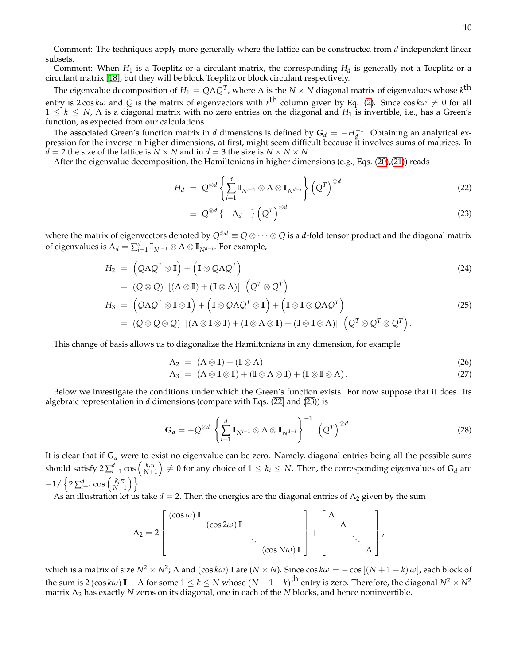Comment: The techniques apply more generally where the lattice can be constructed from *d* independent linear subsets.

Comment: When  $H_1$  is a Toeplitz or a circulant matrix, the corresponding  $H_d$  is generally not a Toeplitz or a circulant matrix [\[18\]](#page-12-4), but they will be block Toeplitz or block circulant respectively.

The eigenvalue decomposition of  $H_1=Q\Lambda Q^T$ , where  $\Lambda$  is the  $N\times N$  diagonal matrix of eigenvalues whose  $k^{\text{th}}$ entry is 2 cos  $k\omega$  and  $Q$  is the matrix of eigenvectors with  $r^{\rm th}$  column given by Eq. [\(2\)](#page-1-3). Since cos  $k\omega\neq 0$  for all  $1 \leq k \leq N$ ,  $\Lambda$  is a diagonal matrix with no zero entries on the diagonal and  $H_1$  is invertible, i.e., has a Green's function, as expected from our calculations.

The associated Green's function matrix in *d* dimensions is defined by  $G_d = -H_d^{-1}$ . Obtaining an analytical expression for the inverse in higher dimensions, at first, might seem difficult because it involves sums of matrices. In  $d = 2$  the size of the lattice is  $N \times N$  and in  $d = 3$  the size is  $N \times N \times N$ .

After the eigenvalue decomposition, the Hamiltonians in higher dimensions (e.g., Eqs. [\(20\)](#page-8-1),[\(21\)](#page-8-1)) reads

<span id="page-9-0"></span>
$$
H_d = Q^{\otimes d} \left\{ \sum_{i=1}^d \mathbb{I}_{N^{i-1}} \otimes \Lambda \otimes \mathbb{I}_{N^{d-i}} \right\} \left( Q^T \right)^{\otimes d} \tag{22}
$$

$$
\equiv Q^{\otimes d} \{ \Lambda_d \} \left( Q^T \right)^{\otimes d} \tag{23}
$$

where the matrix of eigenvectors denoted by  $Q^{\otimes d} \equiv Q \otimes \cdots \otimes Q$  is a *d*-fold tensor product and the diagonal matrix of eigenvalues is  $\Lambda_d = \sum_{i=1}^d \mathbb{I}_{N^{i-1}} \otimes \Lambda \otimes \mathbb{I}_{N^{d-i}}.$  For example,

$$
H_2 = (\mathcal{Q}\Lambda\mathcal{Q}^T\otimes\mathbb{I}) + (\mathbb{I}\otimes\mathcal{Q}\Lambda\mathcal{Q}^T)
$$
  
= (\mathcal{Q}\otimes\mathcal{Q}) [(\Lambda\otimes\mathbb{I}) + (\mathbb{I}\otimes\Lambda)] (\mathcal{Q}^T\otimes\mathcal{Q}^T) (24)

$$
H_3 = (\mathcal{Q}\Delta\mathcal{Q}^T \otimes \mathbb{I} \otimes \mathbb{I}) + (\mathbb{I} \otimes \mathcal{Q}\Lambda\mathcal{Q}^T \otimes \mathbb{I}) + (\mathbb{I} \otimes \mathbb{I} \otimes \mathbb{I})\mathcal{Q}\Lambda\mathcal{Q}^T)
$$
  
=  $(\mathcal{Q}\otimes\mathcal{Q}\otimes\mathcal{Q}) [(\Lambda \otimes \mathbb{I} \otimes \mathbb{I}) + (\mathbb{I} \otimes \Lambda \otimes \mathbb{I}) + (\mathbb{I} \otimes \mathbb{I} \otimes \Lambda)] [\mathcal{Q}^T \otimes \mathcal{Q}^T \otimes \mathcal{Q}^T).$  (25)

This change of basis allows us to diagonalize the Hamiltonians in any dimension, for example

$$
\Lambda_2 = (\Lambda \otimes \mathbb{I}) + (\mathbb{I} \otimes \Lambda) \tag{26}
$$

$$
\Lambda_3 = (\Lambda \otimes \mathbb{I} \otimes \mathbb{I}) + (\mathbb{I} \otimes \Lambda \otimes \mathbb{I}) + (\mathbb{I} \otimes \mathbb{I} \otimes \Lambda).
$$
 (27)

Below we investigate the conditions under which the Green's function exists. For now suppose that it does. Its algebraic representation in *d* dimensions (compare with Eqs. [\(22\)](#page-9-0) and [\(23\)](#page-9-0)) is

$$
\mathbf{G}_d = -Q^{\otimes d} \left\{ \sum_{i=1}^d \mathbb{I}_{N^{i-1}} \otimes \Lambda \otimes \mathbb{I}_{N^{d-i}} \right\}^{-1} \left( Q^T \right)^{\otimes d}.
$$
 (28)

It is clear that if **G***<sup>d</sup>* were to exist no eigenvalue can be zero. Namely, diagonal entries being all the possible sums should satisfy 2 $\sum_{i=1}^d \cos\left(\frac{k_i\pi}{N+1}\right)\neq 0$  for any choice of  $1\leq k_i\leq N.$  Then, the corresponding eigenvalues of  $\mathbf{G}_d$  are  $-1/\left\{2\sum_{i=1}^d\cos\left(\frac{k_i\pi}{N+1}\right)\right\}.$ 

As an illustration let us take  $d = 2$ . Then the energies are the diagonal entries of  $\Lambda_2$  given by the sum

$$
\Lambda_2 = 2 \left[ \begin{array}{cccc} (\cos \omega) \mathbb{I} & & & \\ & (\cos 2\omega) \mathbb{I} & & \\ & & \ddots & \\ & & & (\cos N\omega) \mathbb{I} \end{array} \right] + \left[ \begin{array}{cccc} \Lambda & & \\ & \Lambda & \\ & & \ddots \\ & & & \Lambda \end{array} \right],
$$

which is a matrix of size  $N^2\times N^2$ ;  $\Lambda$  and  $(\cos k\omega)$  II are  $(N\times N)$ . Since  $\cos k\omega=-\cos\left[(N+1-k)\,\omega\right]$ , each block of the sum is 2 (cos  $k\omega$ ) II +  $\Lambda$  for some 1  $\leq$   $k$   $\leq$   $N$  whose  $(N+1-k)^{\text{th}}$  entry is zero. Therefore, the diagonal  $N^2\times N^2$ matrix Λ<sup>2</sup> has exactly *N* zeros on its diagonal, one in each of the *N* blocks, and hence noninvertible.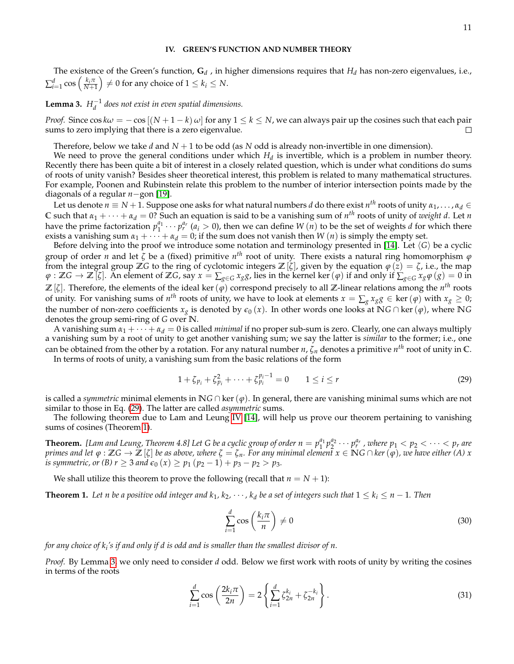The existence of the Green's function, **G***<sup>d</sup>* , in higher dimensions requires that *H<sup>d</sup>* has non-zero eigenvalues, i.e.,  $\sum_{i=1}^d \cos \left( \frac{k_i \pi}{N+1} \right) \neq 0$  for any choice of  $1 \leq k_i \leq N$ .

<span id="page-10-2"></span>**Lemma 3.**  $H_d^{-1}$  does not exist in even spatial dimensions.

*Proof.* Since  $\cos k\omega = -\cos[(N+1-k)\omega]$  for any  $1 \le k \le N$ , we can always pair up the cosines such that each pair sums to zero implying that there is a zero eigenvalue. П

Therefore, below we take *d* and *N* + 1 to be odd (as *N* odd is already non-invertible in one dimension).

We need to prove the general conditions under which  $H_d$  is invertible, which is a problem in number theory. Recently there has been quite a bit of interest in a closely related question, which is under what conditions do sums of roots of unity vanish? Besides sheer theoretical interest, this problem is related to many mathematical structures. For example, Poonen and Rubinstein relate this problem to the number of interior intersection points made by the diagonals of a regular *n*−gon [\[19\]](#page-13-8).

Let us denote  $n\equiv N+1.$  Suppose one asks for what natural numbers  $d$  do there exist  $n^{th}$  roots of unity  $\alpha_1,\dots,\alpha_d\in$ C such that  $\alpha_1 + \cdots + \alpha_d = 0$ ? Such an equation is said to be a vanishing sum of  $n^{th}$  roots of unity of *weight d*. Let *n* have the prime factorization  $p_1^{a_1} \cdots p_r^{a_r}$  ( $a_i > 0$ ), then we can define *W* (*n*) to be the set of weights *d* for which there exists a vanishing sum  $\alpha_1 + \cdots + \alpha_d = 0$ ; if the sum does not vanish then *W* (*n*) is simply the empty set.

Before delving into the proof we introduce some notation and terminology presented in [\[14\]](#page-12-12). Let  $\langle G \rangle$  be a cyclic group of order *n* and let *ζ* be a (fixed) primitive *n th* root of unity. There exists a natural ring homomorphism *ϕ* from the integral group Z*G* to the ring of cyclotomic integers Z[ $\zeta$ ], given by the equation  $\varphi(\zeta) = \zeta$ , i.e., the map  $\varphi$  :  $\mathbb{Z}G \to \mathbb{Z}[\zeta]$ . An element of  $\mathbb{Z}G$ , say  $x = \sum_{g \in G} x_g g$ , lies in the kernel ker  $(\varphi)$  if and only if  $\sum_{g \in G} x_g \varphi(g) = 0$  in **Z** [*ζ*]. Therefore, the elements of the ideal ker(*ϕ*) correspond precisely to all **Z**-linear relations among the *n th* roots of unity. For vanishing sums of  $n^{th}$  roots of unity, we have to look at elements  $x = \sum_g x_g g \in \ker(\varphi)$  with  $x_g \ge 0$ ; the number of non-zero coefficients  $x_g$  is denoted by  $\epsilon_0(x)$ . In other words one looks at **N***G* ∩ ker( $\varphi$ ), where **N***G* denotes the group semi-ring of *G* over **N**.

A vanishing sum  $\alpha_1 + \cdots + \alpha_d = 0$  is called *minimal* if no proper sub-sum is zero. Clearly, one can always multiply a vanishing sum by a root of unity to get another vanishing sum; we say the latter is *similar* to the former; i.e., one can be obtained from the other by a rotation. For any natural number *n*, *ζ<sup>n</sup>* denotes a primitive *n th* root of unity in **C**.

In terms of roots of unity, a vanishing sum from the basic relations of the form

<span id="page-10-0"></span>
$$
1 + \zeta_{p_i} + \zeta_{p_i}^2 + \dots + \zeta_{p_i}^{p_i - 1} = 0 \qquad 1 \le i \le r \tag{29}
$$

is called a *symmetric* minimal elements in **N***G* ∩ ker( $\varphi$ ). In general, there are vanishing minimal sums which are not similar to those in Eq. [\(29\)](#page-10-0). The latter are called *asymmetric* sums.

The following theorem due to Lam and Leung [IV](#page-10-0) [\[14\]](#page-12-12), will help us prove our theorem pertaining to vanishing sums of cosines (Theorem [1\)](#page-10-1).

**Theorem.** [Lam and Leung, Theorem 4.8] Let G be a cyclic group of order  $n=p_1^{a_1}p_2^{a_2}\cdots p_r^{a_r}$  , where  $p_1 < p_2 < \cdots < p_r$  are primes and let  $\varphi : \mathbb{Z}G \to \mathbb{Z}[\zeta]$  be as above, where  $\zeta = \zeta_n$ . For any minimal element  $x \in \mathbb{N}G \cap \ker(\varphi)$ , we have either  $(A)$  x *is symmetric, or (B) r*  $\geq$  3 *and*  $\epsilon_0$  (*x*)  $\geq$  *p*<sub>1</sub> (*p*<sub>2</sub> - 1) + *p*<sub>3</sub> - *p*<sub>2</sub>  $>$  *p*<sub>3</sub>*.* 

We shall utilize this theorem to prove the following (recall that  $n = N + 1$ ):

<span id="page-10-1"></span>**Theorem 1.** Let n be a positive odd integer and  $k_1, k_2, \cdots, k_d$  be a set of integers such that  $1 \leq k_i \leq n-1$ . Then

<span id="page-10-4"></span>
$$
\sum_{i=1}^{d} \cos\left(\frac{k_i \pi}{n}\right) \neq 0 \tag{30}
$$

*for any choice of k<sup>i</sup> 's if and only if d is odd and is smaller than the smallest divisor of n.*

*Proof.* By Lemma [3,](#page-10-2) we only need to consider *d* odd. Below we first work with roots of unity by writing the cosines in terms of the roots

<span id="page-10-3"></span>
$$
\sum_{i=1}^{d} \cos\left(\frac{2k_i \pi}{2n}\right) = 2 \left\{ \sum_{i=1}^{d} \zeta_{2n}^{k_i} + \zeta_{2n}^{-k_i} \right\}.
$$
\n(31)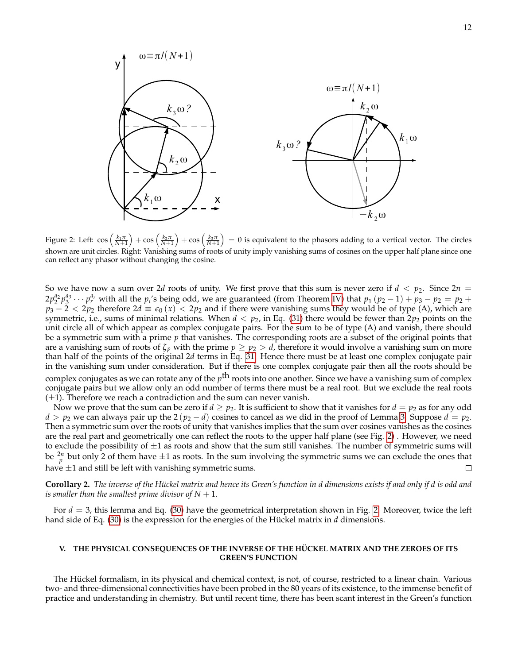

<span id="page-11-0"></span>Figure 2: Left:  $\cos\left(\frac{k_1\pi}{N+1}\right)+\cos\left(\frac{k_2\pi}{N+1}\right)+\cos\left(\frac{k_3\pi}{N+1}\right)=0$  is equivalent to the phasors adding to a vertical vector. The circles shown are unit circles. Right: Vanishing sums of roots of unity imply vanishing sums of cosines on the upper half plane since one can reflect any phasor without changing the cosine.

So we have now a sum over 2*d* roots of unity. We first prove that this sum is never zero if  $d < p_2$ . Since  $2n =$  $2p_2^{a_2}p_3^{a_3} \cdots p_r^{a_r}$  with all the  $p_i$ 's being odd, we are guaranteed (from Theorem [IV\)](#page-10-0) that  $p_1 (p_2 - 1) + p_3 - p_2 = p_2 + p_3$  $p_3 - \tilde{2} < 2p_2$  therefore 2 $d \equiv \epsilon_0(x) < 2p_2$  and if there were vanishing sums they would be of type (A), which are symmetric, i.e., sums of minimal relations. When  $d < p_2$ , in Eq. [\(31\)](#page-10-3) there would be fewer than  $2p_2$  points on the unit circle all of which appear as complex conjugate pairs. For the sum to be of type (A) and vanish, there should be a symmetric sum with a prime *p* that vanishes. The corresponding roots are a subset of the original points that are a vanishing sum of roots of  $\zeta_p$  with the prime  $p \geq p_2 > d$ , therefore it would involve a vanishing sum on more than half of the points of the original 2*d* terms in Eq. [31.](#page-10-3) Hence there must be at least one complex conjugate pair in the vanishing sum under consideration. But if there is one complex conjugate pair then all the roots should be complex conjugates as we can rotate any of the *p* th roots into one another. Since we have a vanishing sum of complex conjugate pairs but we allow only an odd number of terms there must be a real root. But we exclude the real roots  $(\pm 1)$ . Therefore we reach a contradiction and the sum can never vanish.

Now we prove that the sum can be zero if  $d \geq p_2$ . It is sufficient to show that it vanishes for  $d = p_2$  as for any odd  $d > p_2$  we can always pair up the 2 ( $p_2 - d$ ) cosines to cancel as we did in the proof of Lemma [3.](#page-10-2) Suppose  $d = p_2$ . Then a symmetric sum over the roots of unity that vanishes implies that the sum over cosines vanishes as the cosines are the real part and geometrically one can reflect the roots to the upper half plane (see Fig. [2\)](#page-11-0) . However, we need to exclude the possibility of  $\pm 1$  as roots and show that the sum still vanishes. The number of symmetric sums will be  $\frac{2n}{p}$  but only 2 of them have  $\pm 1$  as roots. In the sum involving the symmetric sums we can exclude the ones that have  $\pm 1$  and still be left with vanishing symmetric sums. □

**Corollary 2.** *The inverse of the Hückel matrix and hence its Green's function in d dimensions exists if and only if d is odd and is smaller than the smallest prime divisor of*  $N + 1$ *.* 

For *d* = 3, this lemma and Eq. [\(30\)](#page-10-4) have the geometrical interpretation shown in Fig. [2.](#page-11-0) Moreover, twice the left hand side of Eq. [\(30\)](#page-10-4) is the expression for the energies of the Hückel matrix in *d* dimensions.

#### **V. THE PHYSICAL CONSEQUENCES OF THE INVERSE OF THE HÜCKEL MATRIX AND THE ZEROES OF ITS GREEN'S FUNCTION**

The Hückel formalism, in its physical and chemical context, is not, of course, restricted to a linear chain. Various two- and three-dimensional connectivities have been probed in the 80 years of its existence, to the immense benefit of practice and understanding in chemistry. But until recent time, there has been scant interest in the Green's function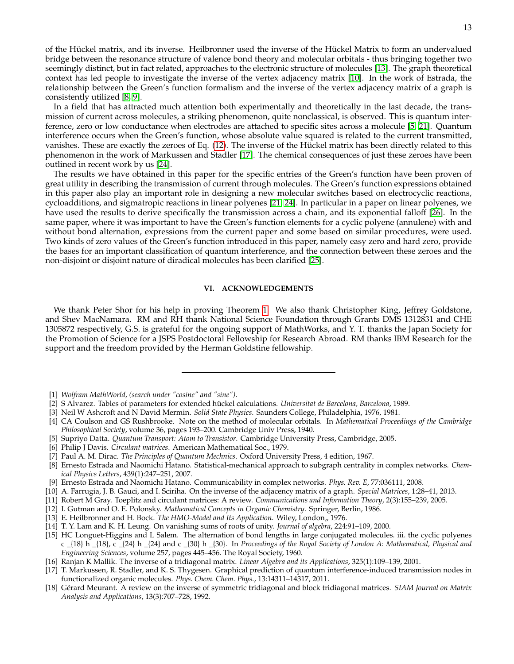of the Hückel matrix, and its inverse. Heilbronner used the inverse of the Hückel Matrix to form an undervalued bridge between the resonance structure of valence bond theory and molecular orbitals - thus bringing together two seemingly distinct, but in fact related, approaches to the electronic structure of molecules [\[13\]](#page-12-0). The graph theoretical context has led people to investigate the inverse of the vertex adjacency matrix [\[10\]](#page-12-13). In the work of Estrada, the relationship between the Green's function formalism and the inverse of the vertex adjacency matrix of a graph is consistently utilized [\[8,](#page-12-14) [9\]](#page-12-15).

In a field that has attracted much attention both experimentally and theoretically in the last decade, the transmission of current across molecules, a striking phenomenon, quite nonclassical, is observed. This is quantum interference, zero or low conductance when electrodes are attached to specific sites across a molecule [\[5,](#page-12-7) [21\]](#page-13-1). Quantum interference occurs when the Green's function, whose absolute value squared is related to the current transmitted, vanishes. These are exactly the zeroes of Eq. [\(12\)](#page-3-0). The inverse of the Hückel matrix has been directly related to this phenomenon in the work of Markussen and Stadler [\[17\]](#page-12-16). The chemical consequences of just these zeroes have been outlined in recent work by us [\[24\]](#page-13-9).

The results we have obtained in this paper for the specific entries of the Green's function have been proven of great utility in describing the transmission of current through molecules. The Green's function expressions obtained in this paper also play an important role in designing a new molecular switches based on electrocyclic reactions, cycloadditions, and sigmatropic reactions in linear polyenes [\[21,](#page-13-1) [24\]](#page-13-9). In particular in a paper on linear polyenes, we have used the results to derive specifically the transmission across a chain, and its exponential falloff [\[26\]](#page-13-10). In the same paper, where it was important to have the Green's function elements for a cyclic polyene (annulene) with and without bond alternation, expressions from the current paper and some based on similar procedures, were used. Two kinds of zero values of the Green's function introduced in this paper, namely easy zero and hard zero, provide the bases for an important classification of quantum interference, and the connection between these zeroes and the non-disjoint or disjoint nature of diradical molecules has been clarified [\[25\]](#page-13-11).

#### **VI. ACKNOWLEDGEMENTS**

We thank Peter Shor for his help in proving Theorem [1.](#page-10-1) We also thank Christopher King, Jeffrey Goldstone, and Shev MacNamara. RM and RH thank National Science Foundation through Grants DMS 1312831 and CHE 1305872 respectively, G.S. is grateful for the ongoing support of MathWorks, and Y. T. thanks the Japan Society for the Promotion of Science for a JSPS Postdoctoral Fellowship for Research Abroad. RM thanks IBM Research for the support and the freedom provided by the Herman Goldstine fellowship.

- <span id="page-12-17"></span>[1] *Wolfram MathWorld, (search under "cosine" and "sine")*.
- <span id="page-12-8"></span>[2] S Alvarez. Tables of parameters for extended hückel calculations. *Universitat de Barcelona, Barcelona*, 1989.
- <span id="page-12-1"></span>[3] Neil W Ashcroft and N David Mermin. *Solid State Physics*. Saunders College, Philadelphia, 1976, 1981.
- <span id="page-12-10"></span>[4] CA Coulson and GS Rushbrooke. Note on the method of molecular orbitals. In *Mathematical Proceedings of the Cambridge Philosophical Society*, volume 36, pages 193–200. Cambridge Univ Press, 1940.
- <span id="page-12-7"></span>[5] Supriyo Datta. *Quantum Transport: Atom to Transistor*. Cambridge University Press, Cambridge, 2005.
- <span id="page-12-5"></span>[6] Philip J Davis. *Circulant matrices*. American Mathematical Soc., 1979.
- <span id="page-12-11"></span>[7] Paul A. M. Dirac. *The Principles of Quantum Mechnics*. Oxford University Press, 4 edition, 1967.
- <span id="page-12-14"></span>[8] Ernesto Estrada and Naomichi Hatano. Statistical-mechanical approach to subgraph centrality in complex networks. *Chemical Physics Letters*, 439(1):247–251, 2007.
- <span id="page-12-15"></span>[9] Ernesto Estrada and Naomichi Hatano. Communicability in complex networks. *Phys. Rev. E*, 77:036111, 2008.
- <span id="page-12-13"></span>[10] A. Farrugia, J. B. Gauci, and I. Sciriha. On the inverse of the adjacency matrix of a graph. *Special Matrices*, 1:28–41, 2013.
- <span id="page-12-6"></span>[11] Robert M Gray. Toeplitz and circulant matrices: A review. *Communications and Information Theory*, 2(3):155–239, 2005.
- <span id="page-12-2"></span>[12] I. Gutman and O. E. Polonsky. *Mathematical Concepts in Organic Chemistry*. Springer, Berlin, 1986.
- <span id="page-12-0"></span>[13] E. Heilbronner and H. Bock. *The HMO-Model and Its Application*. Wiley, London,, 1976.
- <span id="page-12-12"></span>[14] T. Y. Lam and K. H. Leung. On vanishing sums of roots of unity. *Journal of algebra*, 224:91–109, 2000.
- <span id="page-12-3"></span>[15] HC Longuet-Higgins and L Salem. The alternation of bond lengths in large conjugated molecules. iii. the cyclic polyenes c \_{18} h \_{18}, c \_{24} h \_{24} and c \_{30} h \_{30}. In *Proceedings of the Royal Society of London A: Mathematical, Physical and Engineering Sciences*, volume 257, pages 445–456. The Royal Society, 1960.
- <span id="page-12-9"></span>[16] Ranjan K Mallik. The inverse of a tridiagonal matrix. *Linear Algebra and its Applications*, 325(1):109–139, 2001.
- <span id="page-12-16"></span>[17] T. Markussen, R. Stadler, and K. S. Thygesen. Graphical prediction of quantum interference-induced transmission nodes in functionalized organic molecules. *Phys. Chem. Chem. Phys.*, 13:14311–14317, 2011.
- <span id="page-12-4"></span>[18] Gérard Meurant. A review on the inverse of symmetric tridiagonal and block tridiagonal matrices. *SIAM Journal on Matrix Analysis and Applications*, 13(3):707–728, 1992.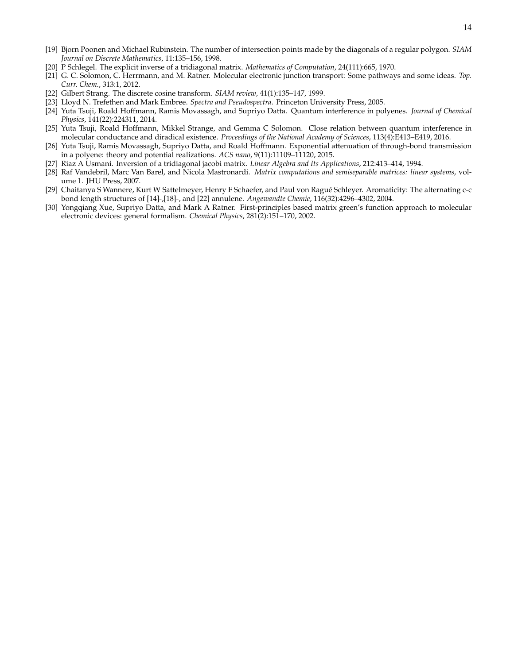- <span id="page-13-8"></span>[19] Bjorn Poonen and Michael Rubinstein. The number of intersection points made by the diagonals of a regular polygon. *SIAM Journal on Discrete Mathematics*, 11:135–156, 1998.
- <span id="page-13-4"></span>[20] P Schlegel. The explicit inverse of a tridiagonal matrix. *Mathematics of Computation*, 24(111):665, 1970.
- <span id="page-13-1"></span>[21] G. C. Solomon, C. Herrmann, and M. Ratner. Molecular electronic junction transport: Some pathways and some ideas. *Top. Curr. Chem.*, 313:1, 2012.
- <span id="page-13-5"></span>[22] Gilbert Strang. The discrete cosine transform. *SIAM review*, 41(1):135–147, 1999.
- <span id="page-13-6"></span>[23] Lloyd N. Trefethen and Mark Embree. *Spectra and Pseudospectra*. Princeton University Press, 2005.
- <span id="page-13-9"></span>[24] Yuta Tsuji, Roald Hoffmann, Ramis Movassagh, and Supriyo Datta. Quantum interference in polyenes. *Journal of Chemical Physics*, 141(22):224311, 2014.
- <span id="page-13-11"></span>[25] Yuta Tsuji, Roald Hoffmann, Mikkel Strange, and Gemma C Solomon. Close relation between quantum interference in molecular conductance and diradical existence. *Proceedings of the National Academy of Sciences*, 113(4):E413–E419, 2016.
- <span id="page-13-10"></span>[26] Yuta Tsuji, Ramis Movassagh, Supriyo Datta, and Roald Hoffmann. Exponential attenuation of through-bond transmission in a polyene: theory and potential realizations. *ACS nano*, 9(11):11109–11120, 2015.
- <span id="page-13-3"></span>[27] Riaz A Usmani. Inversion of a tridiagonal jacobi matrix. *Linear Algebra and Its Applications*, 212:413–414, 1994.
- <span id="page-13-7"></span>[28] Raf Vandebril, Marc Van Barel, and Nicola Mastronardi. *Matrix computations and semiseparable matrices: linear systems*, volume 1. JHU Press, 2007.
- <span id="page-13-0"></span>[29] Chaitanya S Wannere, Kurt W Sattelmeyer, Henry F Schaefer, and Paul von Ragué Schleyer. Aromaticity: The alternating c-c bond length structures of [14]-,[18]-, and [22] annulene. *Angewandte Chemie*, 116(32):4296–4302, 2004.
- <span id="page-13-2"></span>[30] Yongqiang Xue, Supriyo Datta, and Mark A Ratner. First-principles based matrix green's function approach to molecular electronic devices: general formalism. *Chemical Physics*, 281(2):151–170, 2002.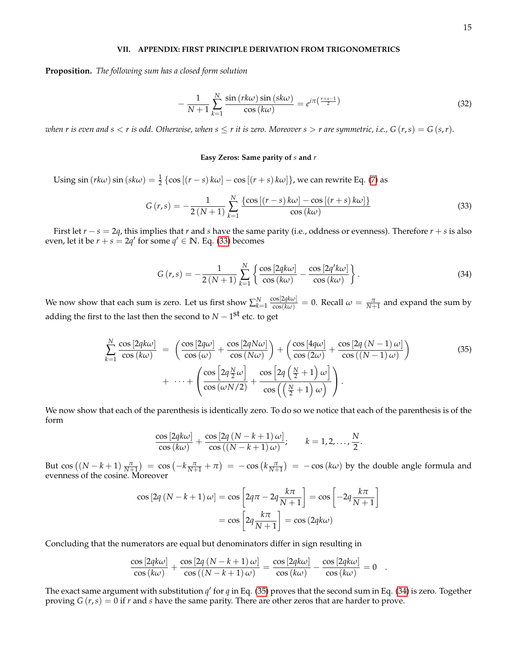#### **VII. APPENDIX: FIRST PRINCIPLE DERIVATION FROM TRIGONOMETRICS**

**Proposition.** *The following sum has a closed form solution*

$$
-\frac{1}{N+1}\sum_{k=1}^{N}\frac{\sin\left(\frac{rk\omega}{\omega}\right)\sin\left(\frac{sk\omega}{\omega}\right)}{\cos\left(k\omega\right)}=e^{i\pi\left(\frac{r+s-1}{2}\right)}\tag{32}
$$

*when r is even and s*  $\lt r$  *is odd. Otherwise, when*  $s \leq r$  *it is zero. Moreover*  $s > r$  *are symmetric, i.e.,*  $G(r, s) = G(s, r)$ *.* 

#### **Easy Zeros: Same parity of** *s* **and** *r*

Using  $\sin(rk\omega)\sin(sk\omega) = \frac{1}{2}\left\{\cos[(r-s)k\omega] - \cos[(r+s)k\omega]\right\}$ , we can rewrite Eq. [\(7\)](#page-1-4) as

<span id="page-14-0"></span>
$$
G(r,s) = -\frac{1}{2(N+1)} \sum_{k=1}^{N} \frac{\{\cos[(r-s)k\omega] - \cos[(r+s)k\omega]\}}{\cos(k\omega)}
$$
(33)

First let *r* − *s* = 2*q*, this implies that *r* and *s* have the same parity (i.e., oddness or evenness). Therefore *r* + *s* is also even, let it be  $r + s = 2q'$  for some  $q' \in \mathbb{N}$ . Eq. [\(33\)](#page-14-0) becomes

<span id="page-14-2"></span>
$$
G(r,s) = -\frac{1}{2(N+1)} \sum_{k=1}^{N} \left\{ \frac{\cos \left[ 2qk\omega \right]}{\cos \left( k\omega \right)} - \frac{\cos \left[ 2q'k\omega \right]}{\cos \left( k\omega \right)} \right\}.
$$
 (34)

We now show that each sum is zero. Let us first show  $\sum_{k=1}^{N} \frac{\cos[2qk\omega]}{\cos(k\omega)} = 0$ . Recall  $\omega = \frac{\pi}{N+1}$  and expand the sum by adding the first to the last then the second to  $N-1^{\textbf{St}}$  etc. to get

<span id="page-14-1"></span>
$$
\sum_{k=1}^{N} \frac{\cos\left[2qk\omega\right]}{\cos\left(k\omega\right)} = \left(\frac{\cos\left[2q\omega\right]}{\cos\left(\omega\right)} + \frac{\cos\left[2qN\omega\right]}{\cos\left(N\omega\right)}\right) + \left(\frac{\cos\left[4q\omega\right]}{\cos\left(2\omega\right)} + \frac{\cos\left[2q\left(N-1\right)\omega\right]}{\cos\left(\left(N-1\right)\omega\right)}\right) + \dots + \left(\frac{\cos\left[2q\frac{N}{2}\omega\right]}{\cos\left(\omega N/2\right)} + \frac{\cos\left[2q\left(\frac{N}{2}+1\right)\omega\right]}{\cos\left(\left(\frac{N}{2}+1\right)\omega\right)}\right). \tag{35}
$$

We now show that each of the parenthesis is identically zero. To do so we notice that each of the parenthesis is of the form

$$
\frac{\cos\left[2qk\omega\right]}{\cos\left(k\omega\right)} + \frac{\cos\left[2q\left(N-k+1\right)\omega\right]}{\cos\left(\left(N-k+1\right)\omega\right)}; \qquad k = 1, 2, \ldots, \frac{N}{2}.
$$

But  $\cos((N-k+1)\frac{\pi}{N+1}) = \cos(-k\frac{\pi}{N+1} + \pi) = -\cos(k\frac{\pi}{N+1}) = -\cos(k\omega)$  by the double angle formula and evenness of the cosine. Moreover

$$
\cos\left[2q\left(N-k+1\right)\omega\right] = \cos\left[2q\pi - 2q\frac{k\pi}{N+1}\right] = \cos\left[-2q\frac{k\pi}{N+1}\right]
$$

$$
= \cos\left[2q\frac{k\pi}{N+1}\right] = \cos\left(2qk\omega\right)
$$

Concluding that the numerators are equal but denominators differ in sign resulting in

$$
\frac{\cos\left[2qk\omega\right]}{\cos\left(k\omega\right)} + \frac{\cos\left[2q\left(N-k+1\right)\omega\right]}{\cos\left(\left(N-k+1\right)\omega\right)} = \frac{\cos\left[2qk\omega\right]}{\cos\left(k\omega\right)} - \frac{\cos\left[2qk\omega\right]}{\cos\left(k\omega\right)} = 0.
$$

The exact same argument with substitution  $q'$  for  $q$  in Eq. [\(35\)](#page-14-1) proves that the second sum in Eq. [\(34\)](#page-14-2) is zero. Together proving *G* (*r*,*s*) = 0 if *r* and *s* have the same parity. There are other zeros that are harder to prove.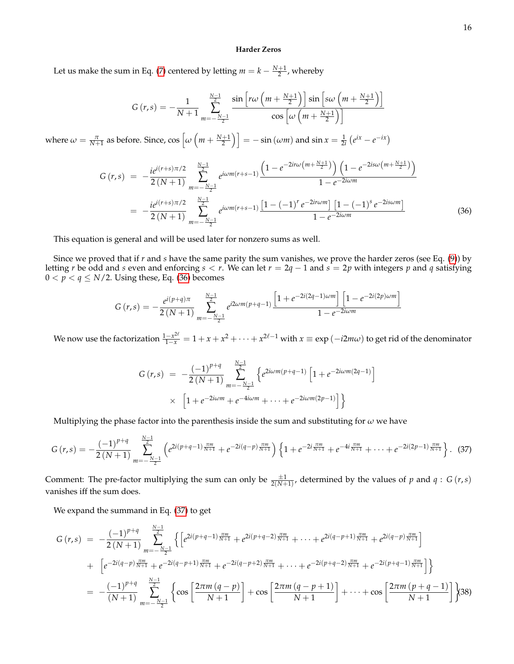#### **Harder Zeros**

Let us make the sum in Eq. [\(7\)](#page-1-4) centered by letting  $m = k - \frac{N+1}{2}$ , whereby

$$
G(r,s) = -\frac{1}{N+1} \sum_{m=-\frac{N-1}{2}}^{\frac{N-1}{2}} \frac{\sin \left[r\omega \left(m+\frac{N+1}{2}\right)\right] \sin \left[s\omega \left(m+\frac{N+1}{2}\right)\right]}{\cos \left[\omega \left(m+\frac{N+1}{2}\right)\right]}
$$

where  $\omega = \frac{\pi}{N+1}$  as before. Since,  $\cos \left[\omega \left(m + \frac{N+1}{2}\right)\right] = -\sin (\omega m)$  and  $\sin x = \frac{1}{2i} (e^{ix} - e^{-ix})$ 

<span id="page-15-0"></span>
$$
G(r,s) = -\frac{ie^{i(r+s)\pi/2}}{2(N+1)} \sum_{m=-\frac{N-1}{2}}^{\frac{N-1}{2}} e^{i\omega m(r+s-1)} \frac{\left(1 - e^{-2ir\omega\left(m + \frac{N+1}{2}\right)}\right)\left(1 - e^{-2is\omega\left(m + \frac{N+1}{2}\right)}\right)}{1 - e^{-2i\omega m}}
$$
  
= 
$$
-\frac{ie^{i(r+s)\pi/2}}{2(N+1)} \sum_{m=-\frac{N-1}{2}}^{\frac{N-1}{2}} e^{i\omega m(r+s-1)} \frac{\left[1 - (-1)^r e^{-2ir\omega m}\right]\left[1 - (-1)^s e^{-2is\omega m}\right]}{1 - e^{-2i\omega m}}
$$
(36)

This equation is general and will be used later for nonzero sums as well.

Since we proved that if *r* and *s* have the same parity the sum vanishes, we prove the harder zeros (see Eq. [\(9\)](#page-2-1)) by letting *r* be odd and *s* even and enforcing *s* < *r*. We can let *r* = 2*q* − 1 and *s* = 2*p* with integers *p* and *q* satisfying  $0 < p < q \le N/2$ . Using these, Eq. [\(36\)](#page-15-0) becomes

$$
G(r,s) = -\frac{e^{i(p+q)\pi}}{2(N+1)} \sum_{m=-\frac{N-1}{2}}^{\frac{N-1}{2}} e^{i2\omega m(p+q-1)} \frac{\left[1+e^{-2i(2q-1)\omega m}\right] \left[1-e^{-2i(2p)\omega m}\right]}{1-e^{-2i\omega m}}
$$

We now use the factorization  $\frac{1-x^{2\ell}}{1-x}=1+x+x^2+\cdots+x^{2\ell-1}$  with  $x\equiv \exp{(-i2m\omega)}$  to get rid of the denominator

$$
G(r,s) = -\frac{(-1)^{p+q}}{2(N+1)} \sum_{m=-\frac{N-1}{2}}^{\frac{N-1}{2}} \left\{ e^{2i\omega m(p+q-1)} \left[ 1 + e^{-2i\omega m(2q-1)} \right] \right\}
$$
  
 
$$
\times \left[ 1 + e^{-2i\omega m} + e^{-4i\omega m} + \dots + e^{-2i\omega m(2p-1)} \right] \right\}
$$

Multiplying the phase factor into the parenthesis inside the sum and substituting for *ω* we have

<span id="page-15-1"></span>
$$
G(r,s) = -\frac{(-1)^{p+q}}{2(N+1)} \sum_{m=-\frac{N-1}{2}}^{\frac{N-1}{2}} \left( e^{2i(p+q-1)\frac{\pi m}{N+1}} + e^{-2i(q-p)\frac{\pi m}{N+1}} \right) \left\{ 1 + e^{-2i\frac{\pi m}{N+1}} + e^{-4i\frac{\pi m}{N+1}} + \dots + e^{-2i(2p-1)\frac{\pi m}{N+1}} \right\}.
$$
 (37)

Comment: The pre-factor multiplying the sum can only be  $\frac{\pm 1}{2(N+1)}$ , determined by the values of *p* and *q* : *G* (*r*,*s*) vanishes iff the sum does.

We expand the summand in Eq. [\(37\)](#page-15-1) to get

<span id="page-15-2"></span>
$$
G(r,s) = -\frac{(-1)^{p+q}}{2(N+1)} \sum_{m=-\frac{N-1}{2}}^{\frac{N-1}{2}} \left\{ \left[ e^{2i(p+q-1)\frac{\pi m}{N+1}} + e^{2i(p+q-2)\frac{\pi m}{N+1}} + \dots + e^{2i(q-p+1)\frac{\pi m}{N+1}} + e^{2i(q-p)\frac{\pi m}{N+1}} \right] \right\}
$$
  
+ 
$$
\left[ e^{-2i(q-p)\frac{\pi m}{N+1}} + e^{-2i(q-p+1)\frac{\pi m}{N+1}} + e^{-2i(q-p+2)\frac{\pi m}{N+1}} + \dots + e^{-2i(p+q-2)\frac{\pi m}{N+1}} + e^{-2i(p+q-1)\frac{\pi m}{N+1}} \right] \right\}
$$
  
= 
$$
-\frac{(-1)^{p+q}}{(N+1)} \sum_{m=-\frac{N-1}{2}}^{\frac{N-1}{2}} \left\{ \cos \left[ \frac{2\pi m (q-p)}{N+1} \right] + \cos \left[ \frac{2\pi m (q-p+1)}{N+1} \right] + \dots + \cos \left[ \frac{2\pi m (p+q-1)}{N+1} \right] \right\}
$$
(38)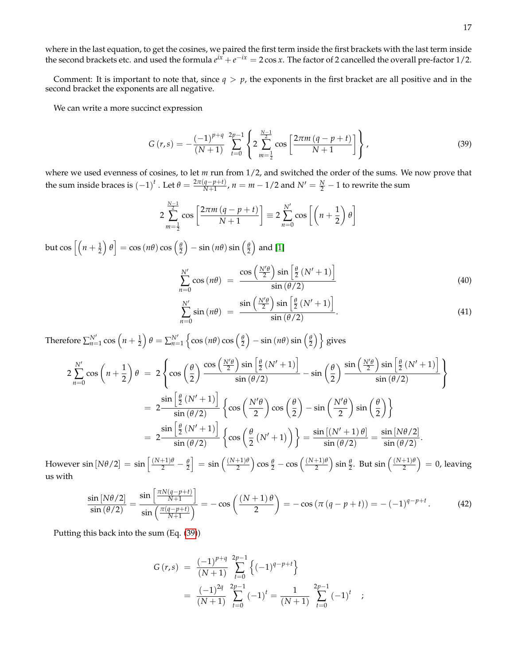where in the last equation, to get the cosines, we paired the first term inside the first brackets with the last term inside the second brackets etc. and used the formula  $e^{ix}+e^{-ix}=2\cos x$ . The factor of 2 cancelled the overall pre-factor 1/2.

Comment: It is important to note that, since  $q > p$ , the exponents in the first bracket are all positive and in the second bracket the exponents are all negative.

We can write a more succinct expression

<span id="page-16-0"></span>
$$
G(r,s) = -\frac{(-1)^{p+q}}{(N+1)} \sum_{t=0}^{2p-1} \left\{ 2 \sum_{m=\frac{1}{2}}^{\frac{N-1}{2}} \cos \left[ \frac{2\pi m (q-p+t)}{N+1} \right] \right\},
$$
(39)

where we used evenness of cosines, to let *m* run from 1/2, and switched the order of the sums. We now prove that the sum inside braces is  $(-1)^t$  . Let  $\theta = \frac{2\pi(q-p+t)}{N+1}$  $\frac{q-p+t}{N+1}$ ,  $n = m - 1/2$  and  $N' = \frac{N}{2} - 1$  to rewrite the sum

$$
2\sum_{m=\frac{1}{2}}^{\frac{N-1}{2}}\cos\left[\frac{2\pi m\left(q-p+t\right)}{N+1}\right] \equiv 2\sum_{n=0}^{N'}\cos\left[\left(n+\frac{1}{2}\right)\theta\right]
$$

but  $\cos\left[\left(n+\frac{1}{2}\right)\theta\right]=\cos\left(n\theta\right)\cos\left(\frac{\theta}{2}\right)-\sin\left(n\theta\right)\sin\left(\frac{\theta}{2}\right)$  and [\[1\]](#page-12-17)

<span id="page-16-1"></span>
$$
\sum_{n=0}^{N'} \cos\left(n\theta\right) = \frac{\cos\left(\frac{N'\theta}{2}\right)\sin\left[\frac{\theta}{2}\left(N'+1\right)\right]}{\sin\left(\theta/2\right)}\tag{40}
$$

$$
\sum_{n=0}^{N'} \sin\left(n\theta\right) = \frac{\sin\left(\frac{N'\theta}{2}\right)\sin\left[\frac{\theta}{2}\left(N'+1\right)\right]}{\sin\left(\theta/2\right)}.\tag{41}
$$

Therefore  $\sum_{n=1}^{N'}\cos\left(n+\frac{1}{2}\right)\theta = \sum_{n=1}^{N'}\left\{\cos\left(n\theta\right)\cos\left(\frac{\theta}{2}\right)-\sin\left(n\theta\right)\sin\left(\frac{\theta}{2}\right)\right\}$  gives

$$
2\sum_{n=0}^{N'}\cos\left(n+\frac{1}{2}\right)\theta = 2\left\{\cos\left(\frac{\theta}{2}\right)\frac{\cos\left(\frac{N'\theta}{2}\right)\sin\left[\frac{\theta}{2}\left(N'+1\right)\right]}{\sin\left(\theta/2\right)} - \sin\left(\frac{\theta}{2}\right)\frac{\sin\left(\frac{N'\theta}{2}\right)\sin\left[\frac{\theta}{2}\left(N'+1\right)\right]}{\sin\left(\theta/2\right)}\right\}
$$

$$
= 2\frac{\sin\left[\frac{\theta}{2}\left(N'+1\right)\right]}{\sin\left(\theta/2\right)}\left\{\cos\left(\frac{N'\theta}{2}\right)\cos\left(\frac{\theta}{2}\right) - \sin\left(\frac{N'\theta}{2}\right)\sin\left(\frac{\theta}{2}\right)\right\}
$$

$$
= 2\frac{\sin\left[\frac{\theta}{2}\left(N'+1\right)\right]}{\sin\left(\theta/2\right)}\left\{\cos\left(\frac{\theta}{2}\left(N'+1\right)\right)\right\} = \frac{\sin\left[\left(N'+1\right)\theta\right]}{\sin\left(\theta/2\right)} = \frac{\sin\left[\left(N\theta/2\right]\right]}{\sin\left(\theta/2\right)}.
$$

 $\text{However }\sin{[N\theta/2]}=\sin{\left[\frac{(N+1)\theta}{2}-\frac{\theta}{2}\right]}=\sin{\left(\frac{(N+1)\theta}{2}\right)}\cos{\frac{\theta}{2}}-\cos{\left(\frac{(N+1)\theta}{2}\right)}\sin{\frac{\theta}{2}}.\text{ But }\sin{\left(\frac{(N+1)\theta}{2}\right)}=0\text{, leaving }2.$ us with

<span id="page-16-2"></span>
$$
\frac{\sin\left[N\theta/2\right]}{\sin\left(\theta/2\right)} = \frac{\sin\left[\frac{\pi N(q-p+t)}{N+1}\right]}{\sin\left(\frac{\pi (q-p+t)}{N+1}\right)} = -\cos\left(\frac{(N+1)\theta}{2}\right) = -\cos\left(\pi \left(q-p+t\right)\right) = -(-1)^{q-p+t}.\tag{42}
$$

Putting this back into the sum (Eq. [\(39\)](#page-16-0))

$$
G(r,s) = \frac{(-1)^{p+q}}{(N+1)} \sum_{t=0}^{2p-1} \left\{ (-1)^{q-p+t} \right\}
$$
  
= 
$$
\frac{(-1)^{2q}}{(N+1)} \sum_{t=0}^{2p-1} (-1)^t = \frac{1}{(N+1)} \sum_{t=0}^{2p-1} (-1)^t ;
$$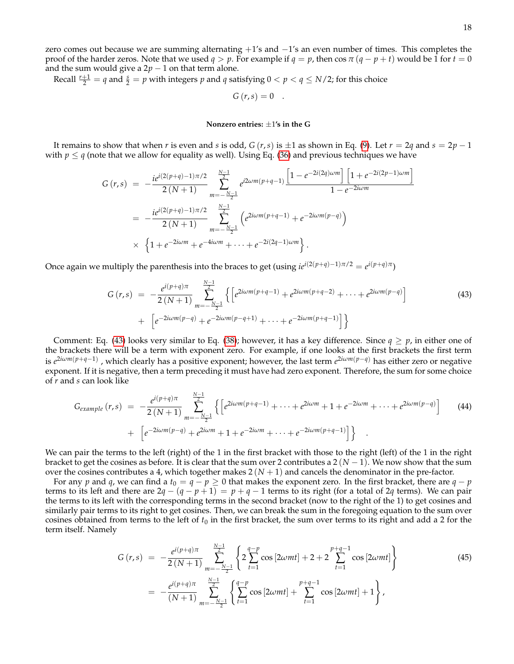zero comes out because we are summing alternating +1's and −1's an even number of times. This completes the proof of the harder zeros. Note that we used  $q > p$ . For example if  $q = p$ , then cos  $\pi (q - p + t)$  would be 1 for  $t = 0$ and the sum would give a  $2p - 1$  on that term alone.

Recall  $\frac{r+1}{2} = q$  and  $\frac{s}{2} = p$  with integers  $p$  and  $q$  satisfying  $0 < p < q \le N/2$ ; for this choice

$$
G(r,s)=0.
$$

#### **Nonzero entries:** ±1**'s in the G**

It remains to show that when *r* is even and *s* is odd, *G* (*r*,*s*) is  $\pm 1$  as shown in Eq. [\(9\)](#page-2-1). Let  $r = 2q$  and  $s = 2p - 1$ with  $p \leq q$  (note that we allow for equality as well). Using Eq. [\(36\)](#page-15-0) and previous techniques we have

$$
G(r,s) = -\frac{ie^{i(2(p+q)-1)\pi/2}}{2(N+1)} \sum_{m=-\frac{N-1}{2}}^{\frac{N-1}{2}} e^{i2\omega m(p+q-1)} \frac{\left[1-e^{-2i(2q)\omega m}\right] \left[1+e^{-2i(2p-1)\omega m}\right]}{1-e^{-2i\omega m}}
$$
  
= 
$$
-\frac{ie^{i(2(p+q)-1)\pi/2}}{2(N+1)} \sum_{m=-\frac{N-1}{2}}^{\frac{N-1}{2}} \left(e^{2i\omega m(p+q-1)}+e^{-2i\omega m(p-q)}\right)
$$
  

$$
\times \left\{1+e^{-2i\omega m}+e^{-4i\omega m}+\cdots+e^{-2i(2q-1)\omega m}\right\}.
$$

Once again we multiply the parenthesis into the braces to get (using  $ie^{i(2(p+q)-1)\pi/2} = e^{i(p+q)\pi}$ )

<span id="page-17-0"></span>
$$
G(r,s) = -\frac{e^{i(p+q)\pi}}{2(N+1)} \sum_{m=-\frac{N-1}{2}}^{\frac{N-1}{2}} \left\{ \left[ e^{2i\omega m(p+q-1)} + e^{2i\omega m(p+q-2)} + \dots + e^{2i\omega m(p-q)} \right] + \left[ e^{-2i\omega m(p-q)} + e^{-2i\omega m(p-q+1)} + \dots + e^{-2i\omega m(p+q-1)} \right] \right\}
$$
(43)

Comment: Eq. [\(43\)](#page-17-0) looks very similar to Eq. [\(38\)](#page-15-2); however, it has a key difference. Since  $q \geq p$ , in either one of the brackets there will be a term with exponent zero. For example, if one looks at the first brackets the first term is *e* 2*iωm*(*p*+*q*−1) , which clearly has a positive exponent; however, the last term *e* <sup>2</sup>*iωm*(*p*−*q*) has either zero or negative exponent. If it is negative, then a term preceding it must have had zero exponent. Therefore, the sum for some choice of *r* and *s* can look like

$$
G_{example}(r,s) = -\frac{e^{i(p+q)\pi}}{2(N+1)} \sum_{m=-\frac{N-1}{2}}^{\frac{N-1}{2}} \left\{ \left[ e^{2i\omega m(p+q-1)} + \dots + e^{2i\omega m} + 1 + e^{-2i\omega m} + \dots + e^{2i\omega m(p-q)} \right] \right\}
$$
(44)  
+ 
$$
\left[ e^{-2i\omega m(p-q)} + e^{2i\omega m} + 1 + e^{-2i\omega m} + \dots + e^{-2i\omega m(p+q-1)} \right] \right\}
$$

We can pair the terms to the left (right) of the 1 in the first bracket with those to the right (left) of the 1 in the right bracket to get the cosines as before. It is clear that the sum over 2 contributes a  $2(N-1)$ . We now show that the sum over the cosines contributes a 4, which together makes  $2(N + 1)$  and cancels the denominator in the pre-factor.

For any *p* and *q*, we can find a  $t_0 = q - p \ge 0$  that makes the exponent zero. In the first bracket, there are  $q - p$ terms to its left and there are  $2q - (q - p + 1) = p + q - 1$  terms to its right (for a total of 2*q* terms). We can pair the terms to its left with the corresponding terms in the second bracket (now to the right of the 1) to get cosines and similarly pair terms to its right to get cosines. Then, we can break the sum in the foregoing equation to the sum over cosines obtained from terms to the left of  $t_0$  in the first bracket, the sum over terms to its right and add a 2 for the term itself. Namely

<span id="page-17-1"></span>
$$
G(r,s) = -\frac{e^{i(p+q)\pi}}{2(N+1)} \sum_{m=-\frac{N-1}{2}}^{\frac{N-1}{2}} \left\{ 2 \sum_{t=1}^{q-p} \cos\left[2\omega mt\right] + 2 + 2 \sum_{t=1}^{p+q-1} \cos\left[2\omega mt\right] \right\}
$$
\n
$$
= -\frac{e^{i(p+q)\pi}}{(N+1)} \sum_{m=-\frac{N-1}{2}}^{\frac{N-1}{2}} \left\{ \sum_{t=1}^{q-p} \cos\left[2\omega mt\right] + \sum_{t=1}^{p+q-1} \cos\left[2\omega mt\right] + 1 \right\},\tag{45}
$$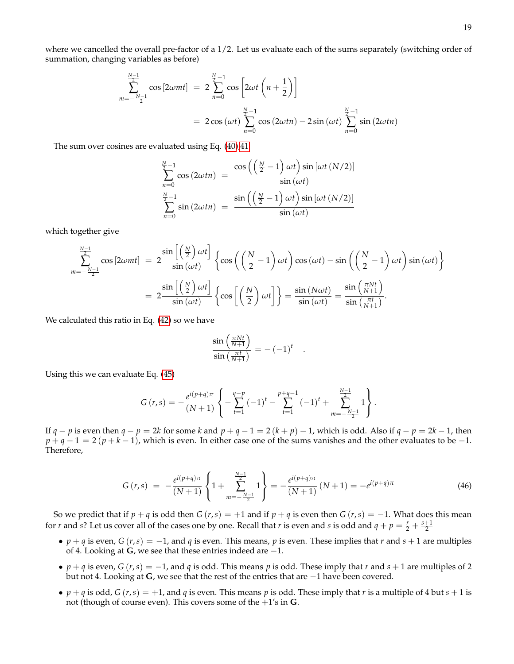where we cancelled the overall pre-factor of a 1/2. Let us evaluate each of the sums separately (switching order of summation, changing variables as before)

$$
\sum_{m=-\frac{N-1}{2}}^{\frac{N-1}{2}} \cos\left[2\omega mt\right] = 2 \sum_{n=0}^{\frac{N}{2}-1} \cos\left[2\omega t \left(n+\frac{1}{2}\right)\right]
$$
  
= 2 cos(\omega t)  $\sum_{n=0}^{\frac{N}{2}-1} \cos\left(2\omega tn\right) - 2 \sin(\omega t) \sum_{n=0}^{\frac{N}{2}-1} \sin\left(2\omega tn\right)$ 

The sum over cosines are evaluated using Eq. [\(40\),41](#page-16-1)

$$
\sum_{n=0}^{\frac{N}{2}-1} \cos(2\omega t n) = \frac{\cos\left(\left(\frac{N}{2}-1\right)\omega t\right)\sin\left[\omega t\left(N/2\right)\right]}{\sin(\omega t)}
$$

$$
\sum_{n=0}^{\frac{N}{2}-1} \sin(2\omega t n) = \frac{\sin\left(\left(\frac{N}{2}-1\right)\omega t\right)\sin\left[\omega t\left(N/2\right)\right]}{\sin(\omega t)}
$$

which together give

$$
\sum_{m=-\frac{N-1}{2}}^{\frac{N-1}{2}} \cos\left[2\omega mt\right] = 2 \frac{\sin\left[\left(\frac{N}{2}\right)\omega t\right]}{\sin\left(\omega t\right)} \left\{ \cos\left(\left(\frac{N}{2}-1\right)\omega t\right) \cos\left(\omega t\right) - \sin\left(\left(\frac{N}{2}-1\right)\omega t\right) \sin\left(\omega t\right) \right\}
$$

$$
= 2 \frac{\sin\left[\left(\frac{N}{2}\right)\omega t\right]}{\sin\left(\omega t\right)} \left\{ \cos\left[\left(\frac{N}{2}\right)\omega t\right] \right\} = \frac{\sin\left(N\omega t\right)}{\sin\left(\omega t\right)} = \frac{\sin\left(\frac{\pi Nt}{N+1}\right)}{\sin\left(\frac{\pi t}{N+1}\right)}.
$$

We calculated this ratio in Eq. [\(42\)](#page-16-2) so we have

$$
\frac{\sin\left(\frac{\pi Nt}{N+1}\right)}{\sin\left(\frac{\pi t}{N+1}\right)} = -(-1)^t.
$$

Using this we can evaluate Eq. [\(45\)](#page-17-1)

$$
G(r,s) = -\frac{e^{i(p+q)\pi}}{(N+1)} \left\{ -\sum_{t=1}^{q-p} (-1)^t - \sum_{t=1}^{p+q-1} (-1)^t + \sum_{m=-\frac{N-1}{2}}^{\frac{N-1}{2}} 1 \right\}.
$$

If  $q - p$  is even then  $q - p = 2k$  for some k and  $p + q - 1 = 2(k + p) - 1$ , which is odd. Also if  $q - p = 2k - 1$ , then  $p + q - 1 = 2(p + k - 1)$ , which is even. In either case one of the sums vanishes and the other evaluates to be −1. Therefore,

<span id="page-18-0"></span>
$$
G(r,s) = -\frac{e^{i(p+q)\pi}}{(N+1)} \left\{ 1 + \sum_{m=-\frac{N-1}{2}}^{\frac{N-1}{2}} 1 \right\} = -\frac{e^{i(p+q)\pi}}{(N+1)} (N+1) = -e^{i(p+q)\pi}
$$
(46)

So we predict that if  $p + q$  is odd then  $G(r, s) = +1$  and if  $p + q$  is even then  $G(r, s) = -1$ . What does this mean for *r* and *s*? Let us cover all of the cases one by one. Recall that *r* is even and *s* is odd and  $q + p = \frac{r}{2} + \frac{s+1}{2}$ 

- $p + q$  is even,  $G(r, s) = -1$ , and  $q$  is even. This means,  $p$  is even. These implies that  $r$  and  $s + 1$  are multiples of 4. Looking at **G**, we see that these entries indeed are −1.
- $p + q$  is even,  $G(r, s) = -1$ , and  $q$  is odd. This means  $p$  is odd. These imply that  $r$  and  $s + 1$  are multiples of 2 but not 4. Looking at **G**, we see that the rest of the entries that are −1 have been covered.
- $p + q$  is odd,  $G(r, s) = +1$ , and  $q$  is even. This means  $p$  is odd. These imply that  $r$  is a multiple of 4 but  $s + 1$  is not (though of course even). This covers some of the +1's in **G**.